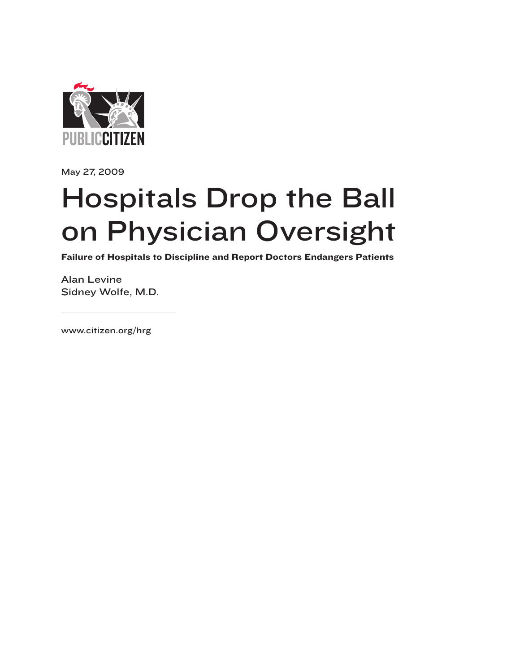

May 27, 2009

# Hospitals Drop the Ball on Physician Oversight

Failure of Hospitals to Discipline and Report Doctors Endangers Patients

Alan Levine Sidney Wolfe, M.D.

www.citizen.org/hrg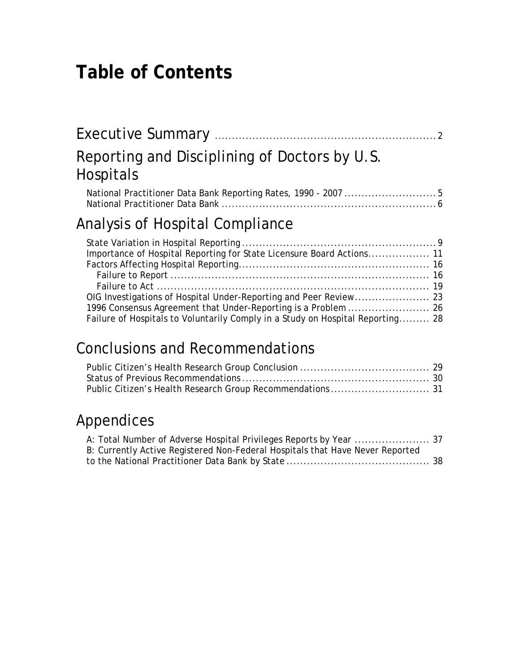## **Table of Contents**

| Reporting and Disciplining of Doctors by U.S.<br><b>Hospitals</b> |  |
|-------------------------------------------------------------------|--|
|                                                                   |  |
| Analysis of Hospital Compliance                                   |  |
| State Variation in Hospital Departing                             |  |

| Failure of Hospitals to Voluntarily Comply in a Study on Hospital Reporting 28 |
|--------------------------------------------------------------------------------|
|                                                                                |

## Conclusions and Recommendations

## Appendices

| B: Currently Active Registered Non-Federal Hospitals that Have Never Reported |  |
|-------------------------------------------------------------------------------|--|
|                                                                               |  |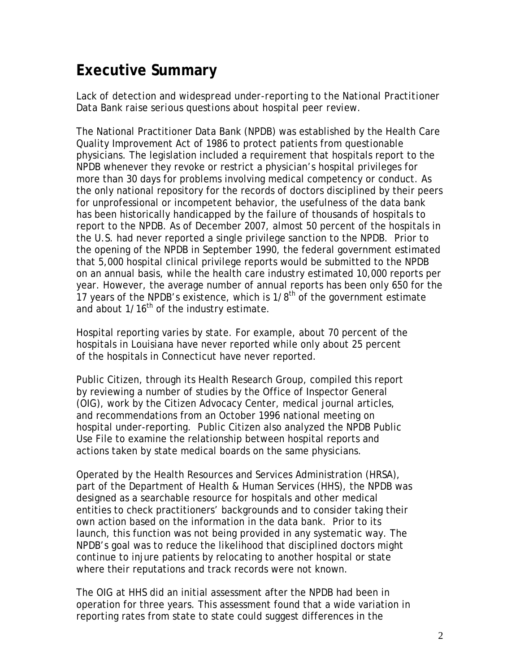## **Executive Summary**

*Lack of detection and widespread under-reporting to the National Practitioner Data Bank raise serious questions about hospital peer review.* 

The National Practitioner Data Bank (NPDB) was established by the Health Care Quality Improvement Act of 1986 to protect patients from questionable physicians. The legislation included a requirement that hospitals report to the NPDB whenever they revoke or restrict a physician's hospital privileges for more than 30 days for problems involving medical competency or conduct. As the only national repository for the records of doctors disciplined by their peers for unprofessional or incompetent behavior, the usefulness of the data bank has been historically handicapped by the failure of thousands of hospitals to report to the NPDB. As of December 2007, almost 50 percent of the hospitals in the U.S. had never reported a single privilege sanction to the NPDB. Prior to the opening of the NPDB in September 1990, the federal government estimated that 5,000 hospital clinical privilege reports would be submitted to the NPDB on an annual basis, while the health care industry estimated 10,000 reports per year. However, the average number of annual reports has been only 650 for the 17 years of the NPDB's existence, which is  $1/8<sup>th</sup>$  of the government estimate and about  $1/16^{th}$  of the industry estimate.

Hospital reporting varies by state. For example, about 70 percent of the hospitals in Louisiana have never reported while only about 25 percent of the hospitals in Connecticut have never reported.

Public Citizen, through its Health Research Group, compiled this report by reviewing a number of studies by the Office of Inspector General (OIG), work by the Citizen Advocacy Center, medical journal articles, and recommendations from an October 1996 national meeting on hospital under-reporting. Public Citizen also analyzed the NPDB Public Use File to examine the relationship between hospital reports and actions taken by state medical boards on the same physicians.

Operated by the Health Resources and Services Administration (HRSA), part of the Department of Health & Human Services (HHS), the NPDB was designed as a searchable resource for hospitals and other medical entities to check practitioners' backgrounds and to consider taking their own action based on the information in the data bank. Prior to its launch, this function was not being provided in any systematic way. The NPDB's goal was to reduce the likelihood that disciplined doctors might continue to injure patients by relocating to another hospital or state where their reputations and track records were not known.

The OIG at HHS did an initial assessment after the NPDB had been in operation for three years. This assessment found that a wide variation in reporting rates from state to state could suggest differences in the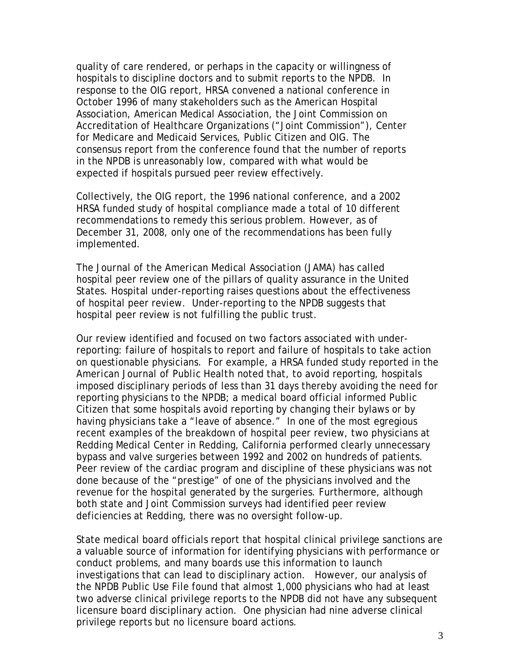quality of care rendered, or perhaps in the capacity or willingness of hospitals to discipline doctors and to submit reports to the NPDB. In response to the OIG report, HRSA convened a national conference in October 1996 of many stakeholders such as the American Hospital Association, American Medical Association, the Joint Commission on Accreditation of Healthcare Organizations ("Joint Commission"), Center for Medicare and Medicaid Services, Public Citizen and OIG. The consensus report from the conference found that the number of reports in the NPDB is unreasonably low, compared with what would be expected if hospitals pursued peer review effectively.

Collectively, the OIG report, the 1996 national conference, and a 2002 HRSA funded study of hospital compliance made a total of 10 different recommendations to remedy this serious problem. However, as of December 31, 2008, only one of the recommendations has been fully implemented.

The *Journal of the American Medical Association* (JAMA) has called hospital peer review one of the pillars of quality assurance in the United States. Hospital under-reporting raises questions about the effectiveness of hospital peer review. Under-reporting to the NPDB suggests that hospital peer review is not fulfilling the public trust.

Our review identified and focused on two factors associated with underreporting: failure of hospitals to report and failure of hospitals to take action on questionable physicians. For example, a HRSA funded study reported in the *American Journal of Public Health* noted that, to avoid reporting, hospitals imposed disciplinary periods of less than 31 days thereby avoiding the need for reporting physicians to the NPDB; a medical board official informed Public Citizen that some hospitals avoid reporting by changing their bylaws or by having physicians take a "leave of absence." In one of the most egregious recent examples of the breakdown of hospital peer review, two physicians at Redding Medical Center in Redding, California performed clearly unnecessary bypass and valve surgeries between 1992 and 2002 on hundreds of patients. Peer review of the cardiac program and discipline of these physicians was not done because of the "prestige" of one of the physicians involved and the revenue for the hospital generated by the surgeries. Furthermore, although both state and Joint Commission surveys had identified peer review deficiencies at Redding, there was no oversight follow-up.

State medical board officials report that hospital clinical privilege sanctions are a valuable source of information for identifying physicians with performance or conduct problems, and many boards use this information to launch investigations that can lead to disciplinary action. However, our analysis of the NPDB Public Use File found that almost 1,000 physicians who had at least two adverse clinical privilege reports to the NPDB did not have any subsequent licensure board disciplinary action. One physician had nine adverse clinical privilege reports but no licensure board actions.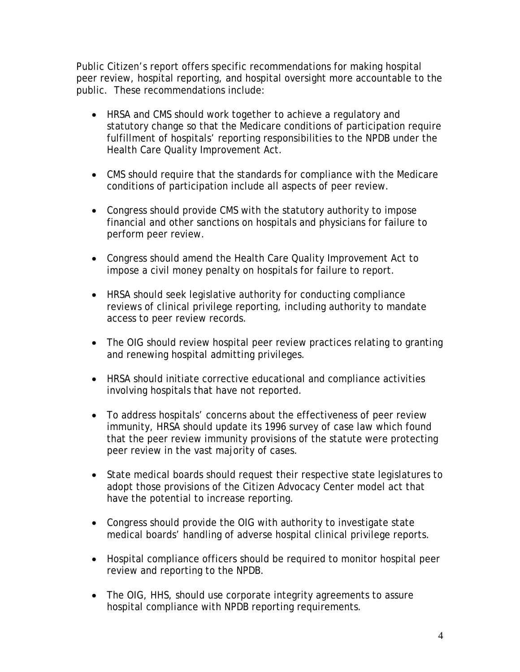Public Citizen's report offers specific recommendations for making hospital peer review, hospital reporting, and hospital oversight more accountable to the public. These recommendations include:

- HRSA and CMS should work together to achieve a regulatory and statutory change so that the Medicare conditions of participation require fulfillment of hospitals' reporting responsibilities to the NPDB under the Health Care Quality Improvement Act.
- CMS should require that the standards for compliance with the Medicare conditions of participation include all aspects of peer review.
- Congress should provide CMS with the statutory authority to impose financial and other sanctions on hospitals and physicians for failure to perform peer review.
- Congress should amend the Health Care Quality Improvement Act to impose a civil money penalty on hospitals for failure to report.
- HRSA should seek legislative authority for conducting compliance reviews of clinical privilege reporting, including authority to mandate access to peer review records.
- The OIG should review hospital peer review practices relating to granting and renewing hospital admitting privileges.
- HRSA should initiate corrective educational and compliance activities involving hospitals that have not reported.
- To address hospitals' concerns about the effectiveness of peer review immunity, HRSA should update its 1996 survey of case law which found that the peer review immunity provisions of the statute were protecting peer review in the vast majority of cases.
- State medical boards should request their respective state legislatures to adopt those provisions of the Citizen Advocacy Center model act that have the potential to increase reporting.
- Congress should provide the OIG with authority to investigate state medical boards' handling of adverse hospital clinical privilege reports.
- Hospital compliance officers should be required to monitor hospital peer review and reporting to the NPDB.
- The OIG, HHS, should use corporate integrity agreements to assure hospital compliance with NPDB reporting requirements.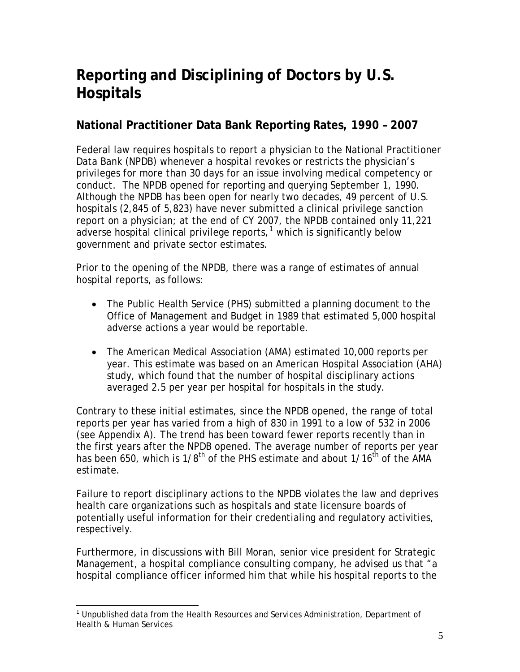## **Reporting and Disciplining of Doctors by U.S. Hospitals**

## **National Practitioner Data Bank Reporting Rates, 1990 – 2007**

Federal law requires hospitals to report a physician to the National Practitioner Data Bank (NPDB) whenever a hospital revokes or restricts the physician's privileges for more than 30 days for an issue involving medical competency or conduct. The NPDB opened for reporting and querying September 1, 1990. Although the NPDB has been open for nearly two decades, 49 percent of U.S. hospitals (2,845 of 5,823) have never submitted a clinical privilege sanction report on a physician; at the end of CY 2007, the NPDB contained only 11,221 adverse hospital clinical privilege reports, $1$  which is significantly below government and private sector estimates.

Prior to the opening of the NPDB, there was a range of estimates of annual hospital reports, as follows:

- The Public Health Service (PHS) submitted a planning document to the Office of Management and Budget in 1989 that estimated 5,000 hospital adverse actions a year would be reportable.
- The American Medical Association (AMA) estimated 10,000 reports per year. This estimate was based on an American Hospital Association (AHA) study, which found that the number of hospital disciplinary actions averaged 2.5 per year per hospital for hospitals in the study.

Contrary to these initial estimates, since the NPDB opened, the range of total reports per year has varied from a high of 830 in 1991 to a low of 532 in 2006 (see Appendix A). The trend has been toward fewer reports recently than in the first years after the NPDB opened. The average number of reports per year has been 650, which is 1/8<sup>th</sup> of the PHS estimate and about 1/16<sup>th</sup> of the AMA estimate.

Failure to report disciplinary actions to the NPDB violates the law and deprives health care organizations such as hospitals and state licensure boards of potentially useful information for their credentialing and regulatory activities, respectively.

Furthermore, in discussions with Bill Moran, senior vice president for Strategic Management, a hospital compliance consulting company, he advised us that "a hospital compliance officer informed him that while his hospital reports to the

<span id="page-5-0"></span> 1 Unpublished data from the Health Resources and Services Administration, Department of Health & Human Services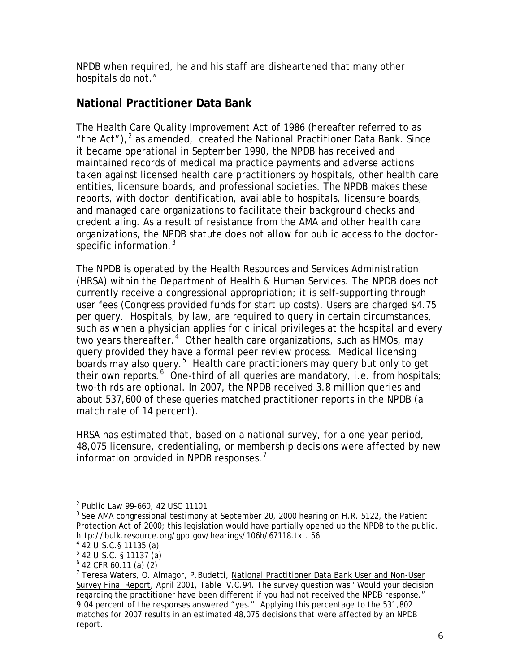NPDB when required, he and his staff are disheartened that many other hospitals do not."

## **National Practitioner Data Bank**

The Health Care Quality Improvement Act of 1986 (hereafter referred to as "the Act"), $^2$  $^2$  as amended, created the National Practitioner Data Bank. Since it became operational in September 1990, the NPDB has received and maintained records of medical malpractice payments and adverse actions taken against licensed health care practitioners by hospitals, other health care entities, licensure boards, and professional societies. The NPDB makes these reports, with doctor identification, available to hospitals, licensure boards, and managed care organizations to facilitate their background checks and credentialing. As a result of resistance from the AMA and other health care organizations, the NPDB statute does not allow for public access to the doctor-specific information.<sup>[3](#page-6-1)</sup>

The NPDB is operated by the Health Resources and Services Administration (HRSA) within the Department of Health & Human Services. The NPDB does not currently receive a congressional appropriation; it is self-supporting through user fees (Congress provided funds for start up costs). Users are charged \$4.75 per query. Hospitals, by law, are required to query in certain circumstances, such as when a physician applies for clinical privileges at the hospital and every two years thereafter.<sup>[4](#page-6-2)</sup> Other health care organizations, such as HMOs, may query provided they have a formal peer review process. Medical licensing boards may also query.<sup>[5](#page-6-3)</sup> Health care practitioners may query but only to get their own reports.<sup>[6](#page-6-4)</sup> One-third of all queries are mandatory, i.e. from hospitals; two-thirds are optional. In 2007, the NPDB received 3.8 million queries and about 537,600 of these queries matched practitioner reports in the NPDB (a match rate of 14 percent).

HRSA has estimated that, based on a national survey, for a one year period, 48,075 licensure, credentialing, or membership decisions were affected by new information provided in NPDB responses. $<sup>7</sup>$  $<sup>7</sup>$  $<sup>7</sup>$ </sup>

 2 Public Law 99-660, 42 USC 11101

<span id="page-6-1"></span><span id="page-6-0"></span><sup>&</sup>lt;sup>3</sup> See AMA congressional testimony at September 20, 2000 hearing on H.R. 5122, the Patient Protection Act of 2000; this legislation would have partially opened up the NPDB to the public. http://bulk.resource.org/gpo.gov/hearings/106h/67118.txt. 56

<span id="page-6-2"></span><sup>4</sup> 42 U.S.C.§ 11135 (a)

<span id="page-6-3"></span> $5$  42 U.S.C. § 11137 (a)

<sup>6</sup> 42 CFR 60.11 (a) (2)

<span id="page-6-5"></span><span id="page-6-4"></span><sup>&</sup>lt;sup>7</sup> Teresa Waters, O. Almagor, P.Budetti, National Practitioner Data Bank User and Non-User Survey Final Report, April 2001, Table IV.C.94. The survey question was "Would your decision regarding the practitioner have been different if you had not received the NPDB response." 9.04 percent of the responses answered "yes." Applying this percentage to the 531,802 matches for 2007 results in an estimated 48,075 decisions that were affected by an NPDB report.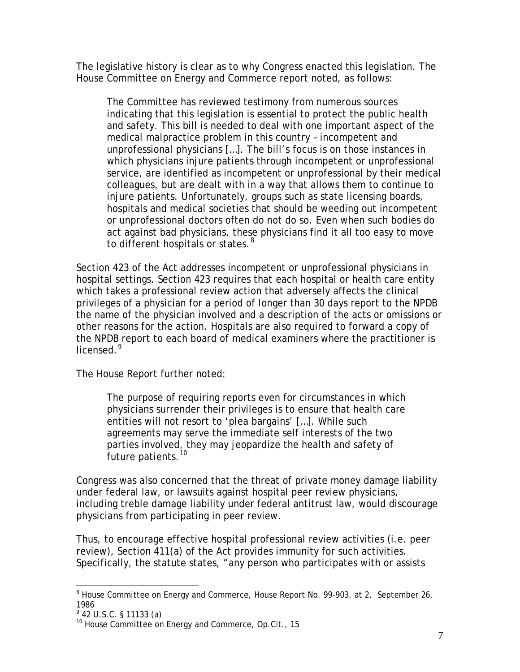The legislative history is clear as to why Congress enacted this legislation. The House Committee on Energy and Commerce report noted, as follows:

The Committee has reviewed testimony from numerous sources indicating that this legislation is essential to protect the public health and safety. This bill is needed to deal with one important aspect of the medical malpractice problem in this country – incompetent and unprofessional physicians […]. The bill's focus is on those instances in which physicians injure patients through incompetent or unprofessional service, are identified as incompetent or unprofessional by their medical colleagues, but are dealt with in a way that allows them to continue to injure patients. Unfortunately, groups such as state licensing boards, hospitals and medical societies that should be weeding out incompetent or unprofessional doctors often do not do so. Even when such bodies do act against bad physicians, these physicians find it all too easy to move to different hospitals or states.<sup>[8](#page-7-0)</sup>

Section 423 of the Act addresses incompetent or unprofessional physicians in hospital settings. Section 423 requires that each hospital or health care entity which takes a professional review action that adversely affects the clinical privileges of a physician for a period of longer than 30 days report to the NPDB the name of the physician involved and a description of the acts or omissions or other reasons for the action. Hospitals are also required to forward a copy of the NPDB report to each board of medical examiners where the practitioner is licensed.<sup>[9](#page-7-1)</sup>

The House Report further noted:

The purpose of requiring reports even for circumstances in which physicians surrender their privileges is to ensure that health care entities will not resort to 'plea bargains' […]. While such agreements may serve the immediate self interests of the two parties involved, they may jeopardize the health and safety of future patients.<sup>[10](#page-7-2)</sup>

Congress was also concerned that the threat of private money damage liability under federal law, or lawsuits against hospital peer review physicians, including treble damage liability under federal antitrust law, would discourage physicians from participating in peer review.

Thus, to encourage effective hospital professional review activities (i.e. peer review), Section 411(a) of the Act provides immunity for such activities. Specifically, the statute states, "any person who participates with or assists

<span id="page-7-0"></span> $\overline{a}$ <sup>8</sup> House Committee on Energy and Commerce, House Report No. 99-903, at 2, September 26, 1986

<span id="page-7-1"></span><sup>&</sup>lt;sup>9</sup> 42 U.S.C. § 11133 (a)

<span id="page-7-2"></span> $10$  House Committee on Energy and Commerce, Op.Cit., 15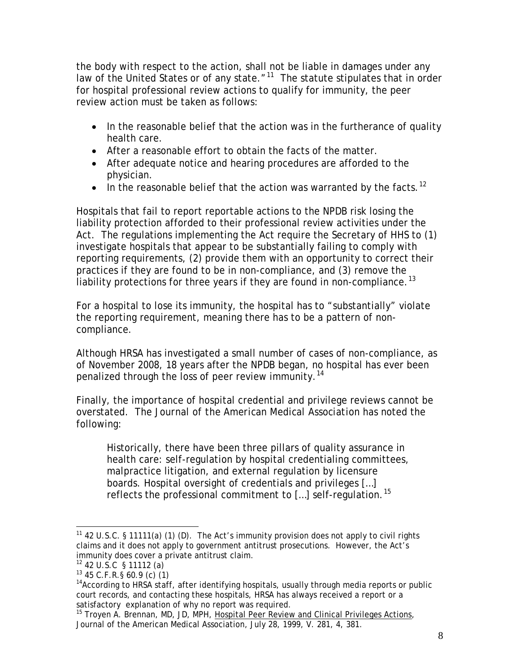the body with respect to the action, shall not be liable in damages under any law of the United States or of any state.  $11$  The statute stipulates that in order for hospital professional review actions to qualify for immunity, the peer review action must be taken as follows:

- In the reasonable belief that the action was in the furtherance of quality health care.
- After a reasonable effort to obtain the facts of the matter.
- After adequate notice and hearing procedures are afforded to the physician.
- $\bullet$  In the reasonable belief that the action was warranted by the facts.<sup>[12](#page-8-1)</sup>

Hospitals that fail to report reportable actions to the NPDB risk losing the liability protection afforded to their professional review activities under the Act. The regulations implementing the Act require the Secretary of HHS to (1) investigate hospitals that appear to be substantially failing to comply with reporting requirements, (2) provide them with an opportunity to correct their practices if they are found to be in non-compliance, and (3) remove the liability protections for three years if they are found in non-compliance.<sup>[13](#page-8-2)</sup>

For a hospital to lose its immunity, the hospital has to "substantially" violate the reporting requirement, meaning there has to be a pattern of noncompliance.

Although HRSA has investigated a small number of cases of non-compliance, as of November 2008, 18 years after the NPDB began, no hospital has ever been penalized through the loss of peer review immunity.<sup>[14](#page-8-3)</sup>

Finally, the importance of hospital credential and privilege reviews cannot be overstated. *The Journal of the American Medical Association* has noted the following:

Historically, there have been three pillars of quality assurance in health care: self-regulation by hospital credentialing committees, malpractice litigation, and external regulation by licensure boards. Hospital oversight of credentials and privileges […] reflects the professional commitment to [...] self-regulation.<sup>[15](#page-8-4)</sup>

<span id="page-8-0"></span> $\overline{a}$ <sup>11</sup> 42 U.S.C. § 11111(a) (1) (D). The Act's immunity provision does not apply to civil rights claims and it does not apply to government antitrust prosecutions. However, the Act's immunity does cover a private antitrust claim.

<span id="page-8-1"></span> $12$  42 U.S.C § 11112 (a)

<span id="page-8-2"></span><sup>13 45</sup> C.F.R.§ 60.9 (c) (1)

<span id="page-8-3"></span> $14$ According to HRSA staff, after identifying hospitals, usually through media reports or public court records, and contacting these hospitals, HRSA has always received a report or a satisfactory explanation of why no report was required.

<span id="page-8-4"></span><sup>&</sup>lt;sup>15</sup> Troyen A. Brennan, MD, JD, MPH, Hospital Peer Review and Clinical Privileges Actions, Journal of the American Medical Association, July 28, 1999, V. 281, 4, 381.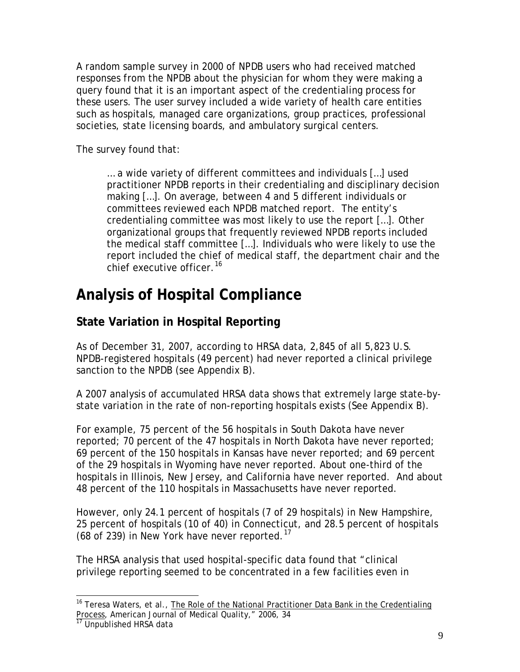A random sample survey in 2000 of NPDB users who had received matched responses from the NPDB about the physician for whom they were making a query found that it is an important aspect of the credentialing process for these users. The user survey included a wide variety of health care entities such as hospitals, managed care organizations, group practices, professional societies, state licensing boards, and ambulatory surgical centers.

The survey found that:

… a wide variety of different committees and individuals […] used practitioner NPDB reports in their credentialing and disciplinary decision making […]. On average, between 4 and 5 different individuals or committees reviewed each NPDB matched report. The entity's credentialing committee was most likely to use the report […]. Other organizational groups that frequently reviewed NPDB reports included the medical staff committee […]. Individuals who were likely to use the report included the chief [o](#page-9-0)f medical staff, the department chair and the chief executive officer.<sup>[16](#page-9-0)</sup>

## **Analysis of Hospital Compliance**

## **State Variation in Hospital Reporting**

As of December 31, 2007, according to HRSA data, 2,845 of all 5,823 U.S. NPDB-registered hospitals (49 percent) had never reported a clinical privilege sanction to the NPDB (see Appendix B).

A 2007 analysis of accumulated HRSA data shows that extremely large state-bystate variation in the rate of non-reporting hospitals exists (See Appendix B).

For example, 75 percent of the 56 hospitals in South Dakota have never reported; 70 percent of the 47 hospitals in North Dakota have never reported; 69 percent of the 150 hospitals in Kansas have never reported; and 69 percent of the 29 hospitals in Wyoming have never reported. About one-third of the hospitals in Illinois, New Jersey, and California have never reported. And about 48 percent of the 110 hospitals in Massachusetts have never reported.

However, only 24.1 percent of hospitals (7 of 29 hospitals) in New Hampshire, 25 percent of hospitals (10 of 40) in Connecticut, and 28.5 percent of hospitals (68 of 239) in New York have never reported.<sup>[17](#page-9-1)</sup>

The HRSA analysis that used hospital-specific data found that "clinical privilege reporting seemed to be concentrated in a few facilities even in

<span id="page-9-0"></span> $\overline{a}$ <sup>16</sup> Teresa Waters, et al., The Role of the National Practitioner Data Bank in the Credentialing Process, American Journal of Medical Quality," 2006, 34

<span id="page-9-1"></span><sup>&</sup>lt;sup>17</sup> Unpublished HRSA data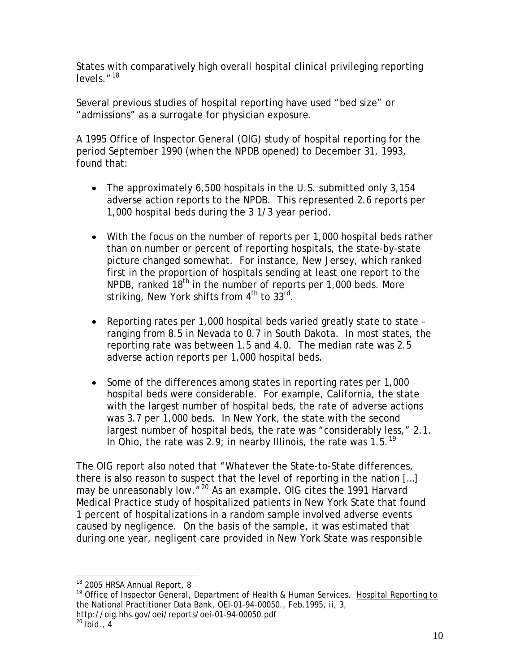States with comparatively high overall hospital clinical privileging reporting levels."[18](#page-10-0)

Several previous studies of hospital reporting have used "bed size" or "admissions" as a surrogate for physician exposure.

A 1995 Office of Inspector General (OIG) study of hospital reporting for the period September 1990 (when the NPDB opened) to December 31, 1993, found that:

- The approximately 6,500 hospitals in the U.S. submitted only 3,154 adverse action reports to the NPDB. This represented 2.6 reports per 1,000 hospital beds during the 3 1/3 year period.
- With the focus on the number of reports per 1,000 hospital beds rather than on number or percent of reporting hospitals, the state-by-state picture changed somewhat. For instance, New Jersey, which ranked first in the proportion of hospitals sending at least one report to the NPDB, ranked  $18<sup>th</sup>$  in the number of reports per 1,000 beds. More striking, New York shifts from 4<sup>th</sup> to 33<sup>rd</sup>.
- Reporting rates per 1,000 hospital beds varied greatly state to state ranging from 8.5 in Nevada to 0.7 in South Dakota. In most states, the reporting rate was between 1.5 and 4.0. The median rate was 2.5 adverse action reports per 1,000 hospital beds.
- Some of the differences among states in reporting rates per 1,000 hospital beds were considerable. For example, California, the state with the largest number of hospital beds, the rate of adverse actions was 3.7 per 1,000 beds. In New York, the state with the second largest number of hospital beds, the rate was "considerably less," 2.1. In Ohio, the rate was 2.9; in nearby Illinois, the rate was 1.5.<sup>[19](#page-10-1)</sup>

The OIG report also noted that "Whatever the State-to-State differences, there is also reason to suspect that the level of reporting in the nation […] may be unreasonably low."<sup>[20](#page-10-2)</sup> As an example, OIG cites the 1991 Harvard Medical Practice study of hospitalized patients in New York State that found 1 percent of hospitalizations in a random sample involved adverse events caused by negligence. On the basis of the sample, it was estimated that during one year, negligent care provided in New York State was responsible

 $\overline{a}$ <sup>18</sup> 2005 HRSA Annual Report, 8

<span id="page-10-1"></span><span id="page-10-0"></span><sup>&</sup>lt;sup>19</sup> Office of Inspector General, Department of Health & Human Services, Hospital Reporting to the National Practitioner Data Bank, OEI-01-94-00050., Feb.1995, ii, 3,

<span id="page-10-2"></span>http://oig.hhs.gov/oei/reports/oei-01-94-00050.pdf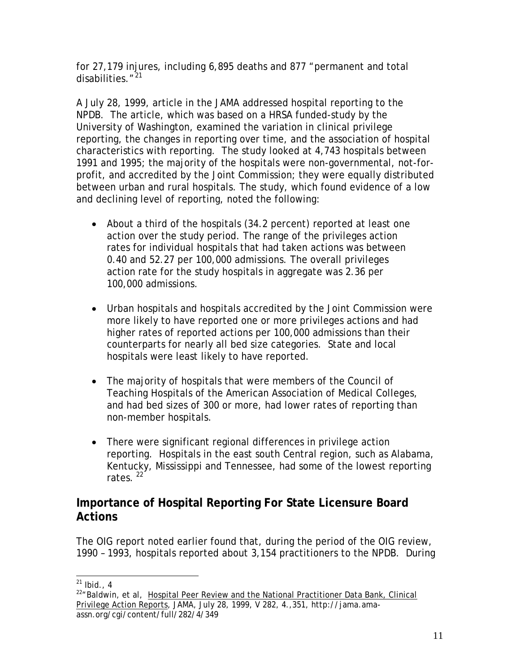for 27,179 injures, including 6,895 deaths and 877 "permanent and total disabilities.<sup>"[21](#page-11-0)</sup>

A July 28, 1999, article in the JAMA addressed hospital reporting to the NPDB. The article, which was based on a HRSA funded-study by the University of Washington, examined the variation in clinical privilege reporting, the changes in reporting over time, and the association of hospital characteristics with reporting. The study looked at 4,743 hospitals between 1991 and 1995; the majority of the hospitals were non-governmental, not-forprofit, and accredited by the Joint Commission; they were equally distributed between urban and rural hospitals. The study, which found evidence of a low and declining level of reporting, noted the following:

- About a third of the hospitals (34.2 percent) reported at least one action over the study period. The range of the privileges action rates for individual hospitals that had taken actions was between 0.40 and 52.27 per 100,000 admissions. The overall privileges action rate for the study hospitals in aggregate was 2.36 per 100,000 admissions.
- Urban hospitals and hospitals accredited by the Joint Commission were more likely to have reported one or more privileges actions and had higher rates of reported actions per 100,000 admissions than their counterparts for nearly all bed size categories. State and local hospitals were least likely to have reported.
- The majority of hospitals that were members of the Council of Teaching Hospitals of the American Association of Medical Colleges, and had bed sizes of 300 or more, had lower rates of reporting than non-member hospitals.
- There were significant regional differences in privilege action reporting. Hospitals in the east south Central region, such as Alabama, Kentucky, Mississippi and Tennessee, had some of the lowest reporting rates.<sup>[22](#page-11-1)</sup>

## **Importance of Hospital Reporting For State Licensure Board Actions**

The OIG report noted earlier found that, during the period of the OIG review, 1990 – 1993, hospitals reported about 3,154 practitioners to the NPDB. During

 $\overline{a}$  $^{21}$  Ibid., 4

<span id="page-11-1"></span><span id="page-11-0"></span> $22^{\mu}$ Baldwin, et al, Hospital Peer Review and the National Practitioner Data Bank, Clinical Privilege Action Reports, JAMA, July 28, 1999, V 282, 4.,351, http://jama.amaassn.org/cgi/content/full/282/4/349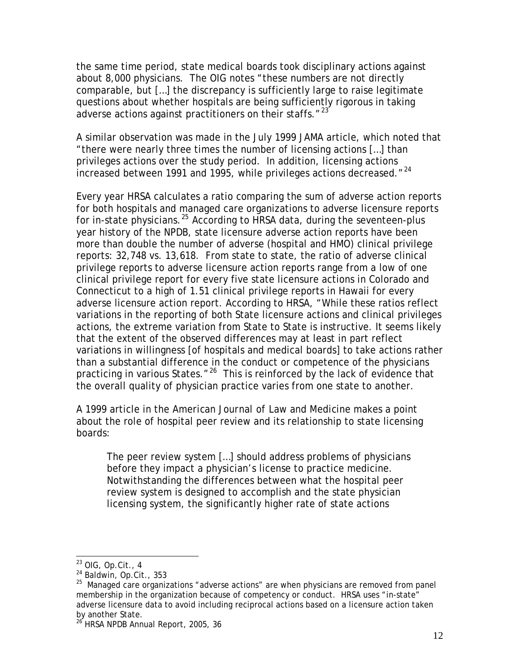the same time period, state medical boards took disciplinary actions against about 8,000 physicians. The OIG notes "these numbers are not directly comparable, but […] the discrepancy is sufficiently large to raise legitimate questions about whether hospitals are being sufficiently rigorous in taking adverse actions against practitioners on their staffs.  $1^{23}$  $1^{23}$  $1^{23}$ 

A similar observation was made in the July 1999 JAMA article, which noted that "there were nearly three times the number of licensing actions […] than privileges actions over the study period. In addition, licensing actions increased between 1991 and 1995, while privileges actions decreased."[24](#page-12-1)

Every year HRSA calculates a ratio comparing the sum of adverse action reports for both hospitals and managed care organizations to adverse licensure reports for in-state physicians*.* [25](#page-12-2) According to HRSA data, during the seventeen-plus year history of the NPDB, state licensure adverse action reports have been more than double the number of adverse (hospital and HMO) clinical privilege reports: 32,748 vs. 13,618. From state to state, the ratio of adverse clinical privilege reports to adverse licensure action reports range from a low of one clinical privilege report for every five state licensure actions in Colorado and Connecticut to a high of 1.51 clinical privilege reports in Hawaii for every adverse licensure action report. According to HRSA, "While these ratios reflect variations in the reporting of both State licensure actions and clinical privileges actions, the extreme variation from State to State is instructive. It seems likely that the extent of the observed differences may at least in part reflect variations in willingness [of hospitals and medical boards] to take actions rather than a substantial difference in the conduct or competence of the physicians practicing in various States.  $7^{26}$  $7^{26}$  $7^{26}$  This is reinforced by the lack of evidence that the overall quality of physician practice varies from one state to another.

A 1999 article in the *American Journal of Law and Medicine* makes a point about the role of hospital peer review and its relationship to state licensing boards:

The peer review system […] should address problems of physicians before they impact a physician's license to practice medicine. Notwithstanding the differences between what the hospital peer review system is designed to accomplish and the state physician licensing system, the significantly higher rate of state actions

 $\overline{a}$  $^{23}$  OIG, Op.Cit., 4

<span id="page-12-1"></span><span id="page-12-0"></span><sup>24</sup> Baldwin, Op.Cit., 353

<span id="page-12-2"></span> $25$  Managed care organizations "adverse actions" are when physicians are removed from panel membership in the organization because of competency or conduct. HRSA uses "in-state" adverse licensure data to avoid including reciprocal actions based on a licensure action taken by another State.

<span id="page-12-3"></span> $26$  HRSA NPDB Annual Report, 2005, 36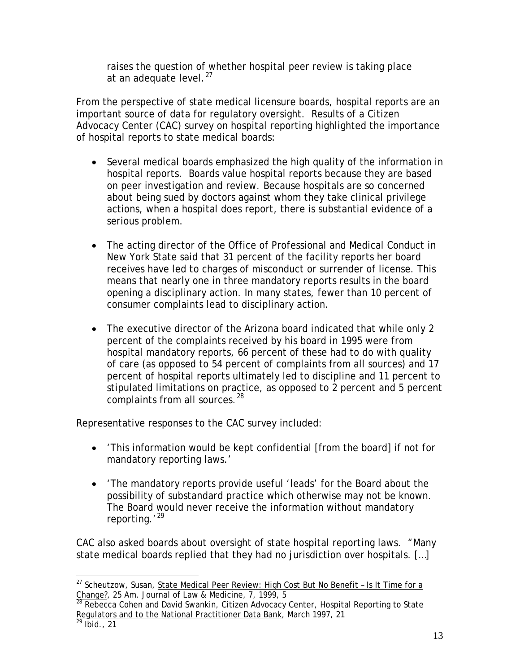raises the question of whether hospital peer review is taking place at an adequate level.<sup>[27](#page-13-0)</sup>

From the perspective of state medical licensure boards, hospital reports are an important source of data for regulatory oversight. Results of a Citizen Advocacy Center (CAC) survey on hospital reporting highlighted the importance of hospital reports to state medical boards:

- Several medical boards emphasized the high quality of the information in hospital reports. Boards value hospital reports because they are based on peer investigation and review. Because hospitals are so concerned about being sued by doctors against whom they take clinical privilege actions, when a hospital does report, there is substantial evidence of a serious problem.
- The acting director of the Office of Professional and Medical Conduct in New York State said that 31 percent of the facility reports her board receives have led to charges of misconduct or surrender of license. This means that nearly one in three mandatory reports results in the board opening a disciplinary action. In many states, fewer than 10 percent of consumer complaints lead to disciplinary action.
- The executive director of the Arizona board indicated that while only 2 percent of the complaints received by his board in 1995 were from hospital mandatory reports, 66 percent of these had to do with quality of care (as opposed to 54 percent of complaints from all sources) and 17 percent of hospital reports ultimately led to discipline and 11 percent to stipulated limitations on practice, as opposed to 2 percent and 5 percent complaints from all sources.<sup>[28](#page-13-1)</sup>

Representative responses to the CAC survey included:

- 'This information would be kept confidential [from the board] if not for mandatory reporting laws.'
- 'The mandatory reports provide useful 'leads' for the Board about the possibility of substandard practice which otherwise may not be known. The Board would never receive the information without mandatory reporting.<sup>'[29](#page-13-2)</sup>

CAC also asked boards about oversight of state hospital reporting laws. "Many state medical boards replied that they had no jurisdiction over hospitals. […]

<span id="page-13-0"></span> $\overline{a}$ <sup>27</sup> Scheutzow, Susan, <u>State Medical Peer Review: High Cost But No Benefit - Is It Time for a</u> Change?, 25 Am. Journal of Law & Medicine, 7, 1999, 5

<span id="page-13-1"></span> $28$  Rebecca Cohen and David Swankin, Citizen Advocacy Center, Hospital Reporting to State Regulators and to the National Practitioner Data Bank, March 1997, 21

<span id="page-13-2"></span> $^{29}$  Ibid., 21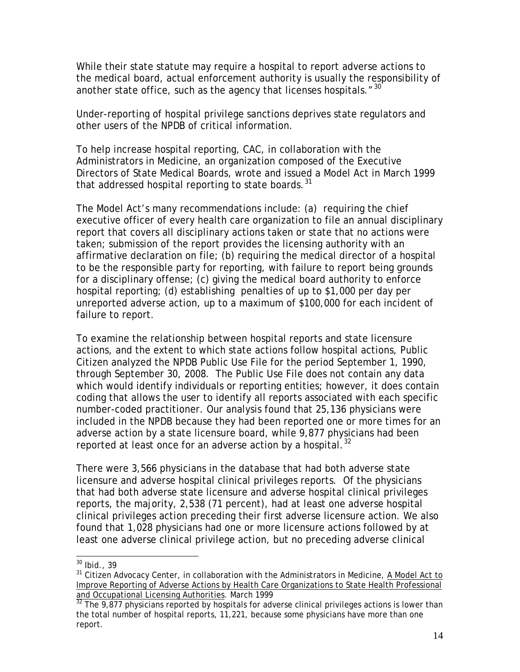While their state statute may require a hospital to report adverse actions to the medical board, actual enforcement authority is usually the responsibility of another state office, such as the agency that licenses hospitals." [30](#page-14-0)'

Under-reporting of hospital privilege sanctions deprives state regulators and other users of the NPDB of critical information.

To help increase hospital reporting, CAC, in collaboration with the Administrators in Medicine, an organization composed of the Executive Directors of State Medical Boards, wrote and issued a Model Act in March 1999 that addressed hospital reporting to state boards.  $31$ 

The Model Act's many recommendations include: (a) requiring the chief executive officer of every health care organization to file an annual disciplinary report that covers all disciplinary actions taken or state that no actions were taken; submission of the report provides the licensing authority with an affirmative declaration on file; (b) requiring the medical director of a hospital to be the responsible party for reporting, with failure to report being grounds for a disciplinary offense; (c) giving the medical board authority to enforce hospital reporting; (d) establishing penalties of up to \$1,000 per day per unreported adverse action, up to a maximum of \$100,000 for each incident of failure to report.

To examine the relationship between hospital reports and state licensure actions, and the extent to which state actions follow hospital actions, Public Citizen analyzed the NPDB Public Use File for the period September 1, 1990, through September 30, 2008. The Public Use File does not contain any data which would identify individuals or reporting entities; however, it does contain coding that allows the user to identify all reports associated with each specific number-coded practitioner. Our analysis found that 25,136 physicians were included in the NPDB because they had been reported one or more times for an adverse action by a state licensure board, while 9,877 physicians had been reported at least once for an adverse action by a hospital. $32$ 

There were 3,566 physicians in the database that had both adverse state licensure and adverse hospital clinical privileges reports. Of the physicians that had both adverse state licensure and adverse hospital clinical privileges reports, the majority, 2,538 (71 percent), had at least one adverse hospital clinical privileges action preceding their first adverse licensure action. We also found that 1,028 physicians had one or more licensure actions followed by at least one adverse clinical privilege action, but no preceding adverse clinical

 $\overline{a}$  $30$  Ibid., 39

<span id="page-14-1"></span><span id="page-14-0"></span> $31$  Citizen Advocacy Center, in collaboration with the Administrators in Medicine, A Model Act to Improve Reporting of Adverse Actions by Health Care Organizations to State Health Professional and Occupational Licensing Authorities. March 1999

<span id="page-14-2"></span> $32$  The 9,877 physicians reported by hospitals for adverse clinical privileges actions is lower than the total number of hospital reports, 11,221, because some physicians have more than one report.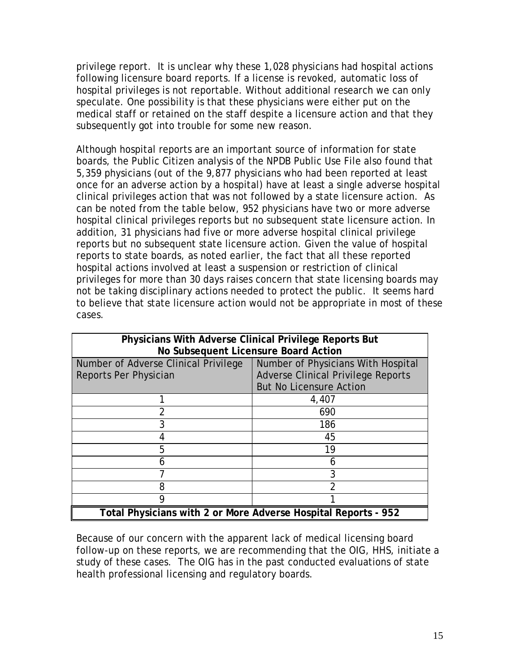privilege report. It is unclear why these 1,028 physicians had hospital actions following licensure board reports. If a license is revoked, automatic loss of hospital privileges is not reportable. Without additional research we can only speculate. One possibility is that these physicians were either put on the medical staff or retained on the staff despite a licensure action and that they subsequently got into trouble for some new reason.

Although hospital reports are an important source of information for state boards, the Public Citizen analysis of the NPDB Public Use File also found that 5,359 physicians (out of the 9,877 physicians who had been reported at least once for an adverse action by a hospital) have at least a single adverse hospital clinical privileges action that was not followed by a state licensure action. As can be noted from the table below, 952 physicians have two or more adverse hospital clinical privileges reports but no subsequent state licensure action. In addition, 31 physicians had five or more adverse hospital clinical privilege reports but no subsequent state licensure action. Given the value of hospital reports to state boards, as noted earlier, the fact that all these reported hospital actions involved at least a suspension or restriction of clinical privileges for more than 30 days raises concern that state licensing boards may not be taking disciplinary actions needed to protect the public. It seems hard to believe that state licensure action would not be appropriate in most of these cases.

| Physicians With Adverse Clinical Privilege Reports But         |                                           |  |  |  |
|----------------------------------------------------------------|-------------------------------------------|--|--|--|
| No Subsequent Licensure Board Action                           |                                           |  |  |  |
| Number of Adverse Clinical Privilege                           | Number of Physicians With Hospital        |  |  |  |
| Reports Per Physician                                          | <b>Adverse Clinical Privilege Reports</b> |  |  |  |
|                                                                | <b>But No Licensure Action</b>            |  |  |  |
|                                                                | 4,407                                     |  |  |  |
|                                                                | 690                                       |  |  |  |
| 3                                                              | 186                                       |  |  |  |
|                                                                | 45                                        |  |  |  |
| 5                                                              | 19                                        |  |  |  |
|                                                                | 6                                         |  |  |  |
|                                                                | 3                                         |  |  |  |
| 8                                                              | າ                                         |  |  |  |
| 9                                                              |                                           |  |  |  |
| Total Physicians with 2 or More Adverse Hospital Reports - 952 |                                           |  |  |  |

Because of our concern with the apparent lack of medical licensing board follow-up on these reports, we are recommending that the OIG, HHS, initiate a study of these cases. The OIG has in the past conducted evaluations of state health professional licensing and regulatory boards.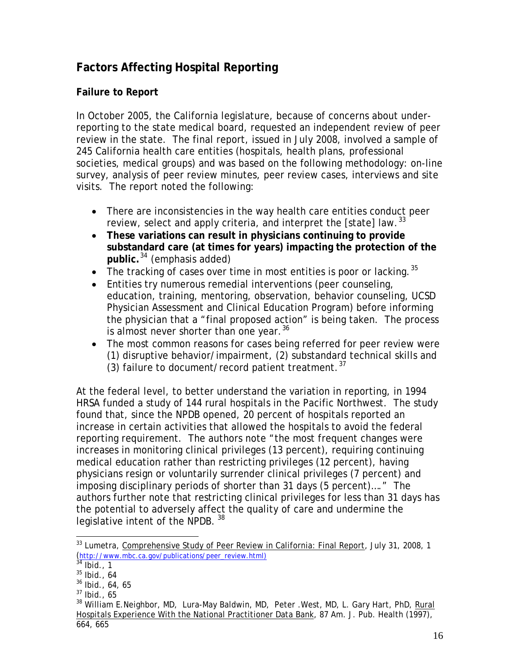## **Factors Affecting Hospital Reporting**

## **Failure to Report**

In October 2005, the California legislature, because of concerns about underreporting to the state medical board, requested an independent review of peer review in the state. The final report, issued in July 2008, involved a sample of 245 California health care entities (hospitals, health plans, professional societies, medical groups) and was based on the following methodology: on-line survey, analysis of peer review minutes, peer review cases, interviews and site visits. The report noted the following:

- There are inconsistencies in the way health care entities conduct peer review, select and apply criteria, and interpret the [state] law.  $33$
- **These variations can result in physicians continuing to provide substandard care (at times for years) impacting the protection of the public.**[34](#page-16-1) (emphasis added)
- The tracking of cases over time in most entities is poor or lacking.  $35$
- Entities try numerous remedial interventions (peer counseling, education, training, mentoring, observation, behavior counseling, UCSD Physician Assessment and Clinical Education Program) before informing the physician that a "final proposed action" is being taken. The process is almost never shorter than one year.  $36$
- The most common reasons for cases being referred for peer review were (1) disruptive behavior/impairment, (2) substandard technical skills and (3) failure to document/record patient treatment.<sup>[37](#page-16-4)</sup>

At the federal level, to better understand the variation in reporting, in 1994 HRSA funded a study of 144 rural hospitals in the Pacific Northwest. The study found that, since the NPDB opened, 20 percent of hospitals reported an increase in certain activities that allowed the hospitals to avoid the federal reporting requirement. The authors note "the most frequent changes were increases in monitoring clinical privileges (13 percent), requiring continuing medical education rather than restricting privileges (12 percent), having physicians resign or voluntarily surrender clinical privileges (7 percent) and imposing disciplinary periods of shorter than 31 days (5 percent)…." The authors further note that restricting clinical privileges for less than 31 days has the potential to adversely affect the quality of care and undermine the legislative intent of the NPDB. [38](#page-16-5)

<span id="page-16-0"></span> $\overline{a}$  $33$  Lumetra, Comprehensive Study of Peer Review in California: Final Report, July 31, 2008, 1 (http://www.mbc.ca.gov/publications/peer\_review.html)<br>34 Ibid - 1

 $I$ bid., 1

<span id="page-16-2"></span><span id="page-16-1"></span> $35$  Ibid., 64

<span id="page-16-3"></span><sup>36</sup> Ibid., 64, 65

<span id="page-16-4"></span> $37$  Ibid., 65

<span id="page-16-5"></span><sup>&</sup>lt;sup>38</sup> William E.Neighbor, MD, Lura-May Baldwin, MD, Peter .West, MD, L. Gary Hart, PhD, Rural Hospitals Experience With the National Practitioner Data Bank, 87 Am. J. Pub. Health (1997), 664, 665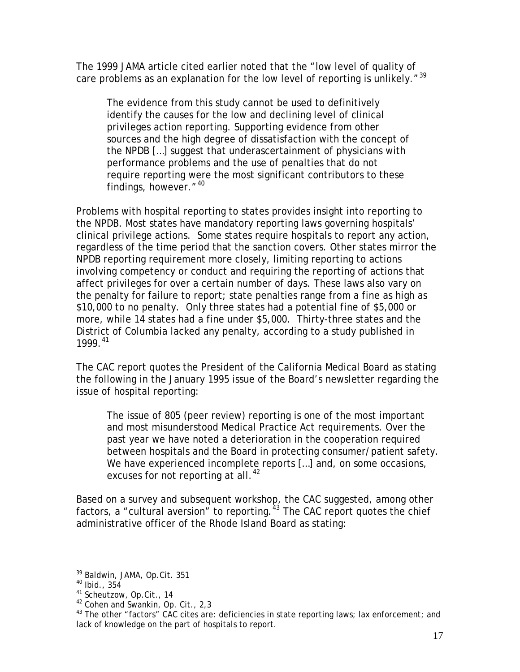The 1999 JAMA article cited earlier noted that the "low level of quality of care problems as an explanation for the low level of reporting is unlikely."<sup>[39](#page-17-0)</sup>

The evidence from this study cannot be used to definitively identify the causes for the low and declining level of clinical privileges action reporting. Supporting evidence from other sources and the high degree of dissatisfaction with the concept of the NPDB […] suggest that underascertainment of physicians with performance problems and the use of penalties that do not require reporting were the most significant contributors to these findings, however."[40](#page-17-0)

Problems with hospital reporting to states provides insight into reporting to the NPDB. Most states have mandatory reporting laws governing hospitals' clinical privilege actions. Some states require hospitals to report any action, regardless of the time period that the sanction covers. Other states mirror the NPDB reporting requirement more closely, limiting reporting to actions involving competency or conduct and requiring the reporting of actions that affect privileges for over a certain number of days. These laws also vary on the penalty for failure to report; state penalties range from a fine as high as \$10,000 to no penalty. Only three states had a potential fine of \$5,000 or more, while 14 states had a fine under \$5,000. Thirty-three states and the District of Columbia lacked any penalty, according to a study published in 1999.<sup>[41](#page-17-0)</sup>

The CAC report quotes the President of the California Medical Board as stating the following in the January 1995 issue of the Board's newsletter regarding the issue of hospital reporting:

The issue of 805 (peer review) reporting is one of the most important and most misunderstood Medical Practice Act requirements. Over the past year we have noted a deterioration in the cooperation required between hospitals and the Board in protecting consumer/patient safety. We have experienced incomplete reports [...] and, on some occasions, excuses for not reporting at all.<sup>[42](#page-17-0)</sup>

Based on a survey and subsequent workshop, the CAC suggested, among other factors, a "cultural aversion" to reporting. $43$  The CAC report quotes the chief administrative officer of the Rhode Island Board as stating:

 $\overline{a}$ <sup>39</sup> Baldwin, JAMA, Op.Cit. 351

<span id="page-17-0"></span><sup>40</sup> Ibid., 354

<sup>41</sup> Scheutzow, Op.Cit., 14

<sup>&</sup>lt;sup>42</sup> Cohen and Swankin, Op. Cit., 2,3

 $43$  The other "factors" CAC cites are: deficiencies in state reporting laws; lax enforcement; and lack of knowledge on the part of hospitals to report.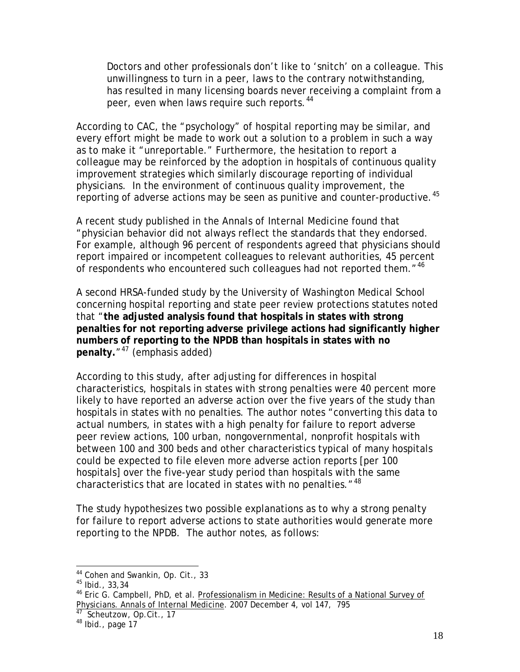Doctors and other professionals don't like to 'snitch' on a colleague. This unwillingness to turn in a peer, laws to the contrary notwithstanding, has resulted in many licensing boards never receiving a complaint from a peer, even when laws require such reports.<sup>[44](#page-18-0)</sup>

According to CAC, the "psychology" of hospital reporting may be similar, and every effort might be made to work out a solution to a problem in such a way as to make it "unreportable." Furthermore, the hesitation to report a colleague may be reinforced by the adoption in hospitals of continuous quality improvement strategies which similarly discourage reporting of individual physicians. In the environment of continuous quality improvement, the reporting of adverse actions may be seen as punitive and counter-productive.<sup>[45](#page-18-1)</sup>

A recent study published in the *Annals of Internal Medicine* found that "physician behavior did not always reflect the standards that they endorsed. For example, although 96 percent of respondents agreed that physicians should report impaired or incompetent colleagues to relevant authorities, 45 percent of respondents who encountered such colleagues had not reported them."<sup>[46](#page-18-2)</sup>

A second HRSA-funded study by the University of Washington Medical School concerning hospital reporting and state peer review protections statutes noted that "**the adjusted analysis found that hospitals in states with strong penalties for not reporting adverse privilege actions had significantly higher numbers of reporting to the NPDB than hospitals in states with no penalty.**"[47](#page-18-3) (emphasis added)

According to this study, after adjusting for differences in hospital characteristics, hospitals in states with strong penalties were 40 percent more likely to have reported an adverse action over the five years of the study than hospitals in states with no penalties. The author notes "converting this data to actual numbers, in states with a high penalty for failure to report adverse peer review actions, 100 urban, nongovernmental, nonprofit hospitals with between 100 and 300 beds and other characteristics typical of many hospitals could be expected to file eleven more adverse action reports [per 100 hospitals] over the five-year study period than hospitals with the same characteristics that are located in states with no penalties."<sup>[48](#page-18-4)</sup>

The study hypothesizes two possible explanations as to why a strong penalty for failure to report adverse actions to state authorities would generate more reporting to the NPDB. The author notes, as follows:

 $\overline{a}$ <sup>44</sup> Cohen and Swankin, Op. Cit., 33

<span id="page-18-1"></span><span id="page-18-0"></span><sup>45</sup> Ibid., 33,34

<span id="page-18-2"></span><sup>&</sup>lt;sup>46</sup> Eric G. Campbell, PhD, et al. Professionalism in Medicine: Results of a National Survey of Physicians. Annals of Internal Medicine. 2007 December 4, vol 147, 795

<span id="page-18-3"></span><sup>&</sup>lt;sup>47</sup> Scheutzow, Op.Cit., 17

<span id="page-18-4"></span> $48$  Ibid., page 17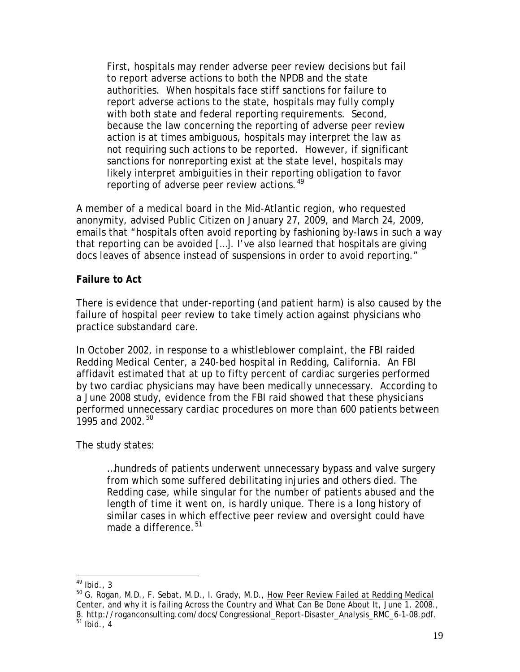First, hospitals may render adverse peer review decisions but fail to report adverse actions to both the NPDB and the state authorities. When hospitals face stiff sanctions for failure to report adverse actions to the state, hospitals may fully comply with both state and federal reporting requirements. Second, because the law concerning the reporting of adverse peer review action is at times ambiguous, hospitals may interpret the law as not requiring such actions to be reported. However, if significant sanctions for nonreporting exist at the state level, hospitals may likely interpret ambiguities in their reporting obligation to favor reporting of adverse peer review actions.<sup>[49](#page-19-0)</sup>

A member of a medical board in the Mid-Atlantic region, who requested anonymity, advised Public Citizen on January 27, 2009, and March 24, 2009, emails that "hospitals often avoid reporting by fashioning by-laws in such a way that reporting can be avoided […]. I've also learned that hospitals are giving docs *leaves of absence* instead of suspensions in order to avoid reporting."

### **Failure to Act**

There is evidence that under-reporting (and patient harm) is also caused by the failure of hospital peer review to take timely action against physicians who practice substandard care.

In October 2002, in response to a whistleblower complaint, the FBI raided Redding Medical Center, a 240-bed hospital in Redding, California. An FBI affidavit estimated that at up to fifty percent of cardiac surgeries performed by two cardiac physicians may have been medically unnecessary. According to a June 2008 study, evidence from the FBI raid showed that these physicians performed unnecessary cardiac procedures on more than 600 patients between 1995 and 2002.<sup>[50](#page-19-1)</sup>

## The study states:

…hundreds of patients underwent unnecessary bypass and valve surgery from which some suffered debilitating injuries and others died. The Redding case, while singular for the number of patients abused and the length of time it went on, is hardly unique. There is a long history of similar cases in which effective peer review and oversight could have made a difference.<sup>[51](#page-19-2)</sup>

 $\overline{a}$ 

 $^{49}$  Ibid., 3

<span id="page-19-1"></span><span id="page-19-0"></span> $50$  G. Rogan, M.D., F. Sebat, M.D., I. Grady, M.D., How Peer Review Failed at Redding Medical Center, and why it is failing Across the Country and What Can Be Done About It, June 1, 2008., 8. http://roganconsulting.com/docs/Congressional\_Report-Disaster\_Analysis\_RMC\_6-1-08.pdf.

<span id="page-19-2"></span> $51$  Ibid., 4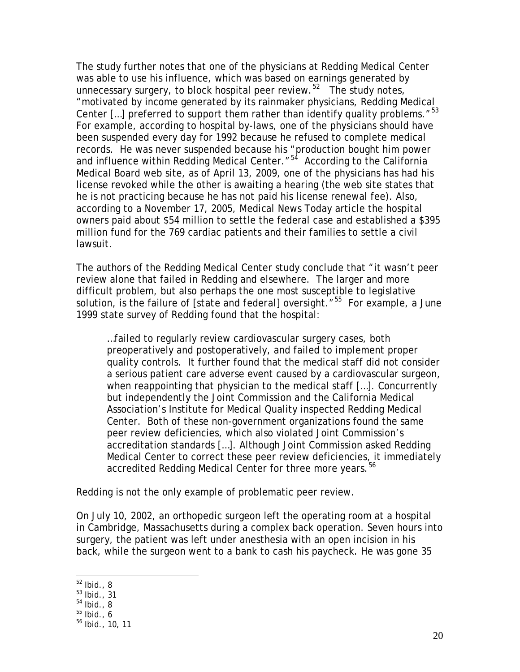The study further notes that one of the physicians at Redding Medical Center was able to use his influence, which was based on earnings generated by unnecessary surgery, to block hospital peer review.<sup>[52](#page-20-0)</sup> The study notes, "motivated by income generated by its rainmaker physicians, Redding Medical Center [...] preferred to support them rather than identify quality problems."<sup>[53](#page-20-1)</sup> For example, according to hospital by-laws, one of the physicians should have been suspended every day for 1992 because he refused to complete medical records. He was never suspended because his "production bought him power and influence within Redding Medical Center.  $154$  $154$  According to the California Medical Board web site, as of April 13, 2009, one of the physicians has had his license revoked while the other is awaiting a hearing (the web site states that he is not practicing because he has not paid his license renewal fee). Also, according to a November 17, 2005, *Medical News Today* article the hospital owners paid about \$54 million to settle the federal case and established a \$395 million fund for the 769 cardiac patients and their families to settle a civil lawsuit.

The authors of the Redding Medical Center study conclude that "it wasn't peer review alone that failed in Redding and elsewhere. The larger and more difficult problem, but also perhaps the one most susceptible to legislative solution, is the failure of [*state and federal*] oversight.<sup>"[55](#page-20-3)</sup> For example, a June 1999 state survey of Redding found that the hospital:

…failed to regularly review cardiovascular surgery cases, both preoperatively and postoperatively, and failed to implement proper quality controls. It further found that the medical staff did not consider a serious patient care adverse event caused by a cardiovascular surgeon, when reappointing that physician to the medical staff […]. Concurrently but independently the Joint Commission and the California Medical Association's Institute for Medical Quality inspected Redding Medical Center. Both of these non-government organizations found the same peer review deficiencies, which also violated Joint Commission's accreditation standards […]. Although Joint Commission asked Redding Medical Center to correct these peer review deficiencies, it immediately accredited Redding Medical Center for three more years.<sup>[56](#page-20-4)</sup>

Redding is not the only example of problematic peer review.

On July 10, 2002, an orthopedic surgeon left the operating room at a hospital in Cambridge, Massachusetts during a complex back operation. Seven hours into surgery, the patient was left under anesthesia with an open incision in his back, while the surgeon went to a bank to cash his paycheck. He was gone 35

 $\overline{a}$ 

<span id="page-20-0"></span> $52$  Ibid., 8

<span id="page-20-1"></span> $53$  Ibid., 31

 $54$  Ibid., 8

<span id="page-20-3"></span><span id="page-20-2"></span> $55$  Ibid., 6

<span id="page-20-4"></span><sup>56</sup> Ibid., 10, 11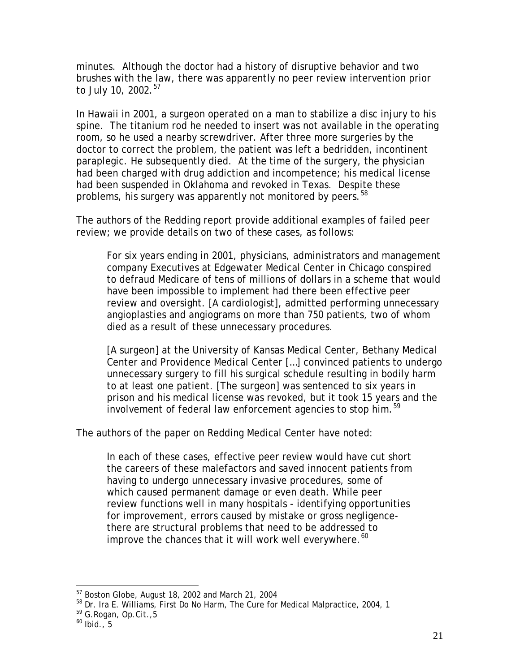minutes. Although the doctor had a history of disruptive behavior and two brushes with the law, there was apparently no peer review intervention prior to July 10, 2002. $57$ 

In Hawaii in 2001, a surgeon operated on a man to stabilize a disc injury to his spine. The titanium rod he needed to insert was not available in the operating room, so he used a nearby screwdriver. After three more surgeries by the doctor to correct the problem, the patient was left a bedridden, incontinent paraplegic. He subsequently died. At the time of the surgery, the physician had been charged with drug addiction and incompetence; his medical license had been suspended in Oklahoma and revoked in Texas. Despite these problems, his surgery was apparently not monitored by peers.<sup>[58](#page-21-1)</sup>

The authors of the Redding report provide additional examples of failed peer review; we provide details on two of these cases, as follows:

For six years ending in 2001, physicians, administrators and management company Executives at Edgewater Medical Center in Chicago conspired to defraud Medicare of tens of millions of dollars in a scheme that would have been impossible to implement had there been effective peer review and oversight. [A cardiologist], admitted performing unnecessary angioplasties and angiograms on more than 750 patients, two of whom died as a result of these unnecessary procedures*.* 

[A surgeon] at the University of Kansas Medical Center, Bethany Medical Center and Providence Medical Center […] convinced patients to undergo unnecessary surgery to fill his surgical schedule resulting in bodily harm to at least one patient. [The surgeon] was sentenced to six years in prison and his medical license was revoked, but it took 15 years and the involvement of federal law enforcement agencies to stop him.<sup>[59](#page-21-2)</sup>

The authors of the paper on Redding Medical Center have noted:

In each of these cases, effective peer review would have cut short the careers of these malefactors and saved innocent patients from having to undergo unnecessary invasive procedures, some of which caused permanent damage or even death. While peer review functions well in many hospitals - identifying opportunities for improvement, errors caused by mistake or gross negligencethere are structural problems that need to be addressed to improve the chances that it will work well everywhere.<sup>[60](#page-21-3)</sup>

 $\overline{a}$  $57$  Boston Globe, August 18, 2002 and March 21, 2004

<span id="page-21-1"></span><span id="page-21-0"></span><sup>&</sup>lt;sup>58</sup> Dr. Ira E. Williams, First Do No Harm, The Cure for Medical Malpractice, 2004, 1

<span id="page-21-2"></span><sup>59</sup> G.Rogan, Op.Cit.,5

<span id="page-21-3"></span> $60$  Ibid.,  $5$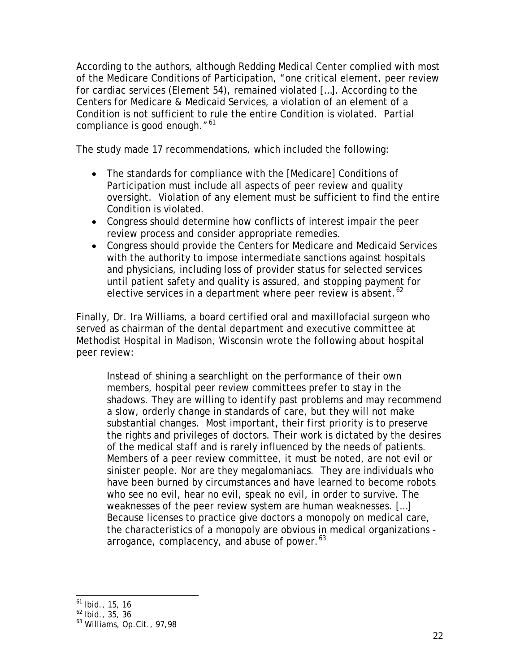According to the authors, although Redding Medical Center complied with most of the Medicare Conditions of Participation, "one critical element, peer review for cardiac services (Element 54), remained violated […]. According to the Centers for Medicare & Medicaid Services, a violation of an element of a Condition is not sufficient to rule the entire Condition is violated. Partial compliance is good enough."<sup>[61](#page-22-0)</sup>

The study made 17 recommendations, which included the following:

- The standards for compliance with the [Medicare] Conditions of Participation must include all aspects of peer review and quality oversight. Violation of any element must be sufficient to find the entire Condition is violated.
- Congress should determine how conflicts of interest impair the peer review process and consider appropriate remedies.
- Congress should provide the Centers for Medicare and Medicaid Services with the authority to impose intermediate sanctions against hospitals and physicians, including loss of provider status for selected services until patient safety and quality is assured, and stopping payment for elective services in a department where peer review is absent.<sup>[62](#page-22-1)</sup>

Finally, Dr. Ira Williams, a board certified oral and maxillofacial surgeon who served as chairman of the dental department and executive committee at Methodist Hospital in Madison, Wisconsin wrote the following about hospital peer review:

Instead of shining a searchlight on the performance of their own members, hospital peer review committees prefer to stay in the shadows. They are willing to identify past problems and may recommend a slow, orderly change in standards of care, but they will not make substantial changes. Most important, their first priority is to preserve the rights and privileges of doctors. Their work is dictated by the desires of the medical staff and is rarely influenced by the needs of patients. Members of a peer review committee, it must be noted, are not evil or sinister people. Nor are they megalomaniacs. They are individuals who have been burned by circumstances and have learned to become robots who see no evil, hear no evil, speak no evil, in order to survive. The weaknesses of the peer review system are human weaknesses. […] Because licenses to practice give doctors a monopoly on medical care, the characteristics of a monopoly are obvious in medical organizations arrogance, complacency, and abuse of power. $^{63}$  $^{63}$  $^{63}$ 

 $\overline{a}$ <sup>61</sup> Ibid., 15, 16

<span id="page-22-1"></span><span id="page-22-0"></span> $^{62}$  Ibid., 35, 36

<span id="page-22-2"></span><sup>63</sup> Williams, Op.Cit., 97,98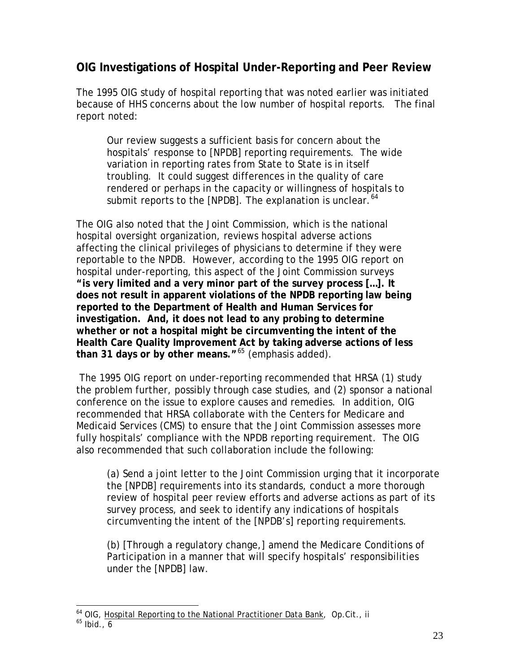## **OIG Investigations of Hospital Under-Reporting and Peer Review**

The 1995 OIG study of hospital reporting that was noted earlier was initiated because of HHS concerns about the low number of hospital reports. The final report noted:

Our review suggests a sufficient basis for concern about the hospitals' response to [NPDB] reporting requirements. The wide variation in reporting rates from State to State is in itself troubling. It could suggest differences in the quality of care rendered or perhaps in the capacity or willingness of hospitals to submit reports to the [NPDB]. The explanation is unclear.  $64$ 

The OIG also noted that the Joint Commission, which is the national hospital oversight organization, reviews hospital adverse actions affecting the clinical privileges of physicians to determine if they were reportable to the NPDB. However, according to the 1995 OIG report on hospital under-reporting, this aspect of the Joint Commission surveys **"is very limited and a very minor part of the survey process […]. It does not result in apparent violations of the NPDB reporting law being reported to the Department of Health and Human Services for investigation. And, it does not lead to any probing to determine whether or not a hospital might be circumventing the intent of the Health Care Quality Improvement Act by taking adverse actions of less than 31 days or by other means."**[65](#page-23-1) (emphasis added).

 The 1995 OIG report on under-reporting recommended that HRSA (1) study the problem further, possibly through case studies, and (2) sponsor a national conference on the issue to explore causes and remedies. In addition, OIG recommended that HRSA collaborate with the Centers for Medicare and Medicaid Services (CMS) to ensure that the Joint Commission assesses more fully hospitals' compliance with the NPDB reporting requirement. The OIG also recommended that such collaboration include the following:

(a) Send a joint letter to the Joint Commission urging that it incorporate the [NPDB] requirements into its standards, conduct a more thorough review of hospital peer review efforts and adverse actions as part of its survey process, and seek to identify any indications of hospitals circumventing the intent of the [NPDB's] reporting requirements.

(b) [Through a regulatory change,] amend the Medicare Conditions of Participation in a manner that will specify hospitals' responsibilities under the [NPDB] law.

<span id="page-23-1"></span><span id="page-23-0"></span> $\overline{a}$ <sup>64</sup> OIG, Hospital Reporting to the National Practitioner Data Bank, Op.Cit., ii  $65$  Ibid., 6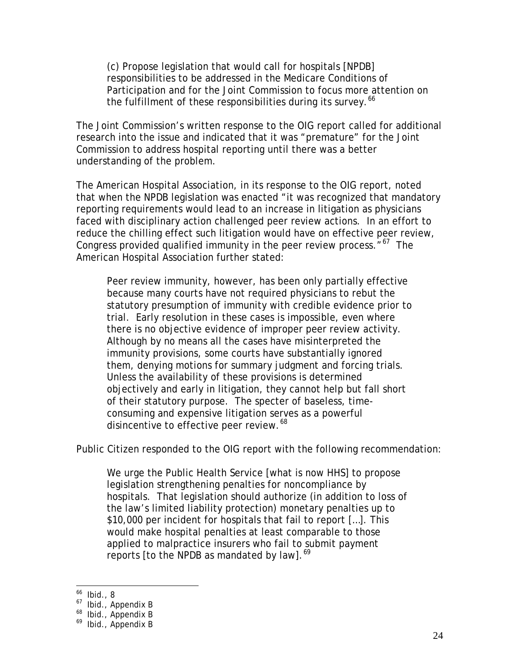(c) Propose legislation that would call for hospitals [NPDB] responsibilities to be addressed in the Medicare Conditions of Participation and for the Joint Commission to focus more attention on the fulfillment of these responsibilities during its survey.<sup>[66](#page-24-0)</sup>

The Joint Commission's written response to the OIG report called for additional research into the issue and indicated that it was "premature" for the Joint Commission to address hospital reporting until there was a better understanding of the problem.

The American Hospital Association, in its response to the OIG report, noted that when the NPDB legislation was enacted "it was recognized that mandatory reporting requirements would lead to an increase in litigation as physicians faced with disciplinary action challenged peer review actions. In an effort to reduce the chilling effect such litigation would have on effective peer review, Congress provided qualified immunity in the peer review process."<sup>[67](#page-24-1)</sup> The American Hospital Association further stated:

Peer review immunity, however, has been only partially effective because many courts have not required physicians to rebut the statutory presumption of immunity with credible evidence prior to trial. Early resolution in these cases is impossible, even where there is no objective evidence of improper peer review activity. Although by no means all the cases have misinterpreted the immunity provisions, some courts have substantially ignored them, denying motions for summary judgment and forcing trials. Unless the availability of these provisions is determined objectively and early in litigation, they cannot help but fall short of their statutory purpose. The specter of baseless, timeconsuming and expensive litigation serves as a powerful disincentive to effective peer review.<sup>[68](#page-24-2)</sup>

Public Citizen responded to the OIG report with the following recommendation:

We urge the Public Health Service [what is now HHS] to propose legislation strengthening penalties for noncompliance by hospitals. That legislation should authorize (in addition to loss of the law's limited liability protection) monetary penalties up to \$10,000 per incident for hospitals that fail to report […]. This would make hospital penalties at least comparable to those applied to malpractice insurers who fail to submit payment reports [to the NPDB as mandated by law].<sup>[69](#page-24-3)</sup>

 $\overline{a}$ 

<span id="page-24-0"></span> $66$  Ibid., 8

<span id="page-24-1"></span><sup>67</sup> Ibid., Appendix B

<span id="page-24-2"></span><sup>68</sup> Ibid., Appendix B

<span id="page-24-3"></span><sup>69</sup> Ibid., Appendix B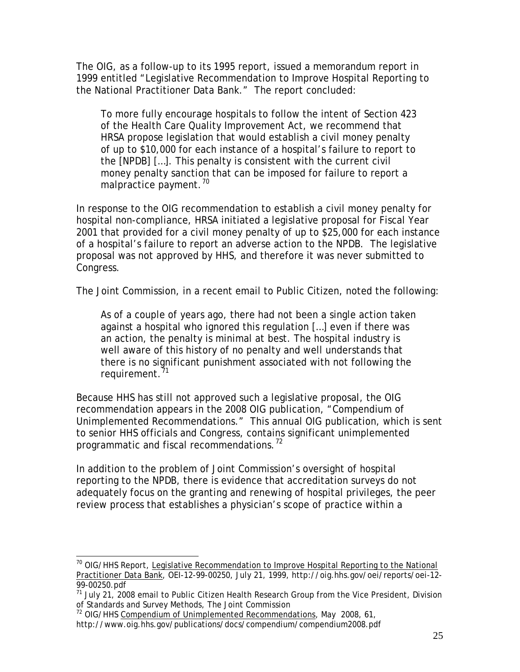The OIG, as a follow-up to its 1995 report, issued a memorandum report in 1999 entitled "Legislative Recommendation to Improve Hospital Reporting to the National Practitioner Data Bank." The report concluded:

To more fully encourage hospitals to follow the intent of Section 423 of the Health Care Quality Improvement Act, we recommend that HRSA propose legislation that would establish a civil money penalty of up to \$10,000 for each instance of a hospital's failure to report to the [NPDB] […]. This penalty is consistent with the current civil money penalty sanction that can be imposed for failure to report a malpractice payment.<sup>[70](#page-25-0)</sup>

In response to the OIG recommendation to establish a civil money penalty for hospital non-compliance, HRSA initiated a legislative proposal for Fiscal Year 2001 that provided for a civil money penalty of up to \$25,000 for each instance of a hospital's failure to report an adverse action to the NPDB. The legislative proposal was not approved by HHS, and therefore it was never submitted to Congress.

The Joint Commission, in a recent email to Public Citizen, noted the following:

As of a couple of years ago, there had not been a single action taken against a hospital who ignored this regulation […] even if there was an action, the penalty is minimal at best. The hospital industry is well aware of this history of no penalty and well understands that there is no significant punishment associated with not following the requirement.<sup>[71](#page-25-1)</sup>

Because HHS has still not approved such a legislative proposal, the OIG recommendation appears in the 2008 OIG publication, "Compendium of Unimplemented Recommendations." This annual OIG publication, which is sent to senior HHS officials and Congress, contains significant unimplemented programmatic and fiscal recommendations.<sup>[72](#page-25-2)</sup>

In addition to the problem of Joint Commission's oversight of hospital reporting to the NPDB, there is evidence that accreditation surveys do not adequately focus on the granting and renewing of hospital privileges, the peer review process that establishes a physician's scope of practice within a

 $\overline{a}$ 

http://www.oig.hhs.gov/publications/docs/compendium/compendium2008.pdf

<span id="page-25-0"></span><sup>&</sup>lt;sup>70</sup> OIG/HHS Report, Legislative Recommendation to Improve Hospital Reporting to the National Practitioner Data Bank, OEI-12-99-00250, July 21, 1999, http://oig.hhs.gov/oei/reports/oei-12- 99-00250.pdf

<span id="page-25-1"></span> $71$  July 21, 2008 email to Public Citizen Health Research Group from the Vice President, Division of Standards and Survey Methods, The Joint Commission

<span id="page-25-2"></span><sup>&</sup>lt;sup>72</sup> OIG/HHS Compendium of Unimplemented Recommendations, May 2008, 61,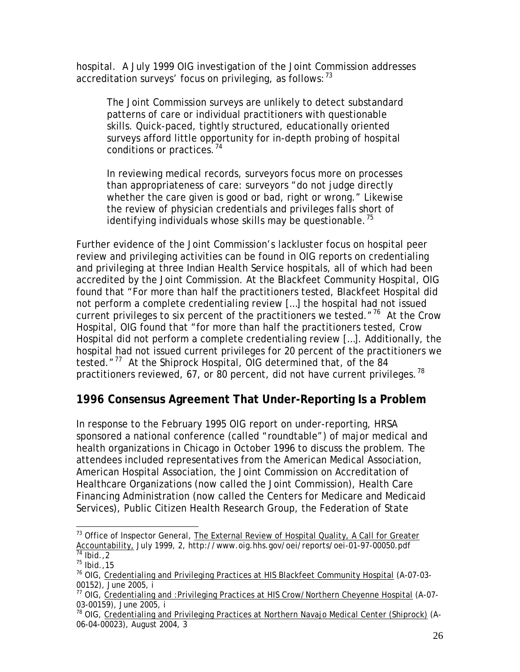hospital. A July 1999 OIG investigation of the Joint Commission addresses accreditation surveys' focus on privileging, as follows: $^{73}$  $^{73}$  $^{73}$ 

The Joint Commission surveys are unlikely to detect substandard patterns of care or individual practitioners with questionable skills. Quick-paced, tightly structured, educationally oriented surveys afford little opportunity for in-depth probing of hospital conditions or practices.<sup>[74](#page-26-1)</sup>

In reviewing medical records, surveyors focus more on processes than appropriateness of care: surveyors "do not judge directly whether the care given is good or bad, right or wrong." Likewise the review of physician credentials and privileges falls short of identifying individuals whose skills may be questionable.<sup>[75](#page-26-2)</sup>

Further evidence of the Joint Commission's lackluster focus on hospital peer review and privileging activities can be found in OIG reports on credentialing and privileging at three Indian Health Service hospitals, all of which had been accredited by the Joint Commission. At the Blackfeet Community Hospital, OIG found that "For more than half the practitioners tested, Blackfeet Hospital did not perform a complete credentialing review […] the hospital had not issued current privileges to six percent of the practitioners we tested. $"^{76}$  $"^{76}$  $"^{76}$  At the Crow Hospital, OIG found that "for more than half the practitioners tested, Crow Hospital did not perform a complete credentialing review […]. Additionally, the hospital had not issued current privileges for 20 percent of the practitioners we tested."<sup>[77](#page-26-4)</sup> At the Shiprock Hospital, OIG determined that, of the 84 practitioners reviewed, 67, or 80 percent, did not have current privileges.<sup>[78](#page-26-5)</sup>

## **1996 Consensus Agreement That Under-Reporting Is a Problem**

In response to the February 1995 OIG report on under-reporting, HRSA sponsored a national conference (called "roundtable") of major medical and health organizations in Chicago in October 1996 to discuss the problem. The attendees included representatives from the American Medical Association, American Hospital Association, the Joint Commission on Accreditation of Healthcare Organizations (now called the Joint Commission), Health Care Financing Administration (now called the Centers for Medicare and Medicaid Services), Public Citizen Health Research Group, the Federation of State

 $\overline{a}$ 

<span id="page-26-0"></span> $^{73}$  Office of Inspector General, The External Review of Hospital Quality, A Call for Greater Accountability, July 1999, 2, http://www.oig.hhs.gov/oei/reports/oei-01-97-00050.pdf  $\frac{74}{1}$  Ibid., 2

<span id="page-26-2"></span><span id="page-26-1"></span><sup>75</sup> Ibid.,15

<span id="page-26-3"></span> $76$  OIG, Credentialing and Privileging Practices at HIS Blackfeet Community Hospital (A-07-03-00152), June 2005, i

<span id="page-26-4"></span><sup>&</sup>lt;sup>77</sup> OIG, Credentialing and :Privileging Practices at HIS Crow/Northern Cheyenne Hospital (A-07-03-00159), June 2005, i

<span id="page-26-5"></span><sup>&</sup>lt;sup>78</sup> OIG, Credentialing and Privileging Practices at Northern Navajo Medical Center (Shiprock) (A-06-04-00023), August 2004, 3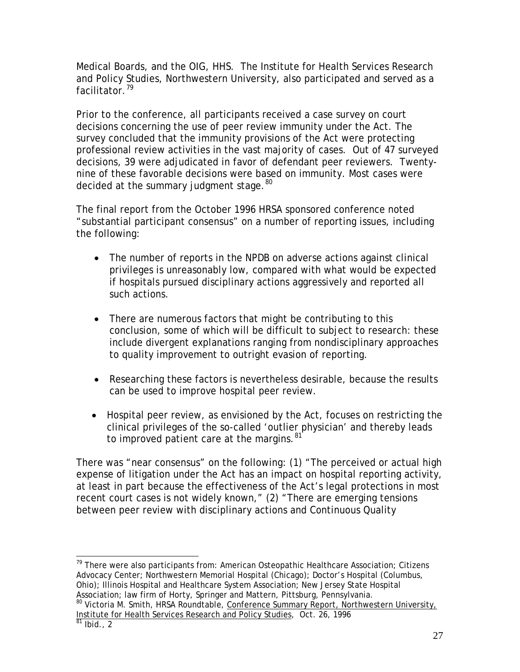Medical Boards, and the OIG, HHS. The Institute for Health Services Research and Policy Studies, Northwestern University, also participated and served as a facilitator.<sup>[79](#page-27-0)</sup>

Prior to the conference, all participants received a case survey on court decisions concerning the use of peer review immunity under the Act. The survey concluded that the immunity provisions of the Act were protecting professional review activities in the vast majority of cases. Out of 47 surveyed decisions, 39 were adjudicated in favor of defendant peer reviewers. Twentynine of these favorable decisions were based on immunity. Most cases were decided at the summary judgment stage. <sup>[80](#page-27-1)</sup>

The final report from the October 1996 HRSA sponsored conference noted "substantial participant consensus" on a number of reporting issues, including the following:

- The number of reports in the NPDB on adverse actions against clinical privileges is unreasonably low, compared with what would be expected if hospitals pursued disciplinary actions aggressively and reported all such actions.
- There are numerous factors that might be contributing to this conclusion, some of which will be difficult to subject to research: these include divergent explanations ranging from nondisciplinary approaches to quality improvement to outright evasion of reporting.
- Researching these factors is nevertheless desirable, because the results can be used to improve hospital peer review.
- Hospital peer review, as envisioned by the Act, focuses on restricting the clinical privileges of the so-called 'outlier physician' and thereby leads to improved patient care at the margins. $81$

There was "near consensus" on the following: (1) "The perceived or actual high expense of litigation under the Act has an impact on hospital reporting activity, at least in part because the effectiveness of the Act's legal protections in most recent court cases is not widely known," (2) "There are emerging tensions between peer review with disciplinary actions and Continuous Quality

<span id="page-27-0"></span> $\overline{a}$  $79$  There were also participants from: American Osteopathic Healthcare Association; Citizens Advocacy Center; Northwestern Memorial Hospital (Chicago); Doctor's Hospital (Columbus, Ohio); Illinois Hospital and Healthcare System Association; New Jersey State Hospital Association; law firm of Horty, Springer and Mattern, Pittsburg, Pennsylvania.

<span id="page-27-1"></span>80 Victoria M. Smith, HRSA Roundtable, Conference Summary Report, Northwestern University, Institute for Health Services Research and Policy Studies, Oct. 26, 1996

<span id="page-27-2"></span> $81$  Ibid., 2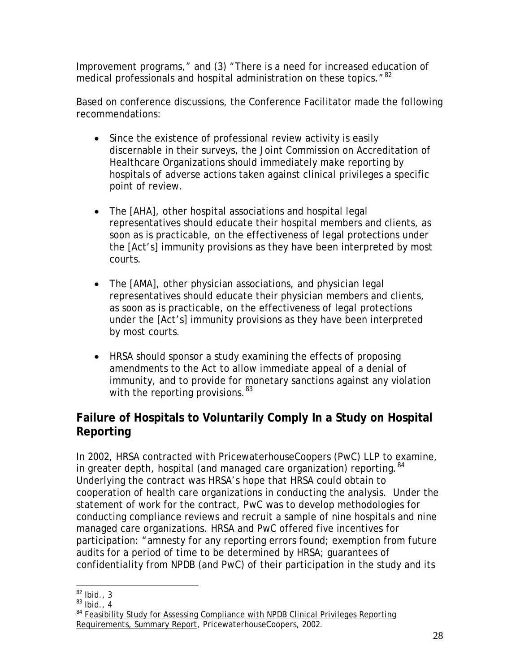Improvement programs," and (3) "There is a need for increased education of medical professionals and hospital administration on these topics."<sup>[82](#page-28-0)</sup>

Based on conference discussions, the Conference Facilitator made the following recommendations:

- Since the existence of professional review activity is easily discernable in their surveys, the Joint Commission on Accreditation of Healthcare Organizations should immediately make reporting by hospitals of adverse actions taken against clinical privileges a specific point of review.
- The [AHA], other hospital associations and hospital legal representatives should educate their hospital members and clients, as soon as is practicable, on the effectiveness of legal protections under the [Act's] immunity provisions as they have been interpreted by most courts.
- The [AMA], other physician associations, and physician legal representatives should educate their physician members and clients, as soon as is practicable, on the effectiveness of legal protections under the [Act's] immunity provisions as they have been interpreted by most courts.
- HRSA should sponsor a study examining the effects of proposing amendments to the Act to allow immediate appeal of a denial of immunity, and to provide for monetary sanctions against any violation with the reporting provisions. [83](#page-28-1)

## **Failure of Hospitals to Voluntarily Comply In a Study on Hospital Reporting**

In 2002, HRSA contracted with PricewaterhouseCoopers (PwC) LLP to examine, in greater depth, hospital (and managed care organization) reporting.<sup>[84](#page-28-2)</sup> Underlying the contract was HRSA's hope that HRSA could obtain to cooperation of health care organizations in conducting the analysis. Under the statement of work for the contract, PwC was to develop methodologies for conducting compliance reviews and recruit a sample of nine hospitals and nine managed care organizations. HRSA and PwC offered five incentives for participation: "amnesty for any reporting errors found; exemption from future audits for a period of time to be determined by HRSA; guarantees of confidentiality from NPDB (and PwC) of their participation in the study and its

 $\overline{a}$  $82$  Ibid., 3

<span id="page-28-1"></span><span id="page-28-0"></span> $83$  Ibid., 4

<span id="page-28-2"></span><sup>&</sup>lt;sup>84</sup> Feasibility Study for Assessing Compliance with NPDB Clinical Privileges Reporting Requirements, Summary Report, PricewaterhouseCoopers, 2002.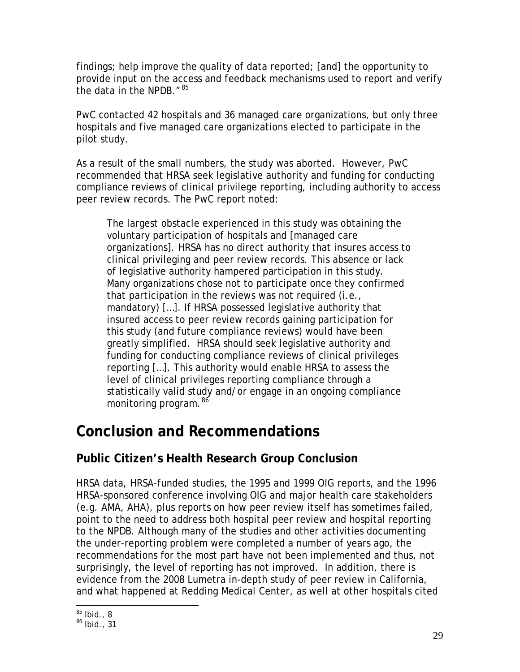findings; help improve the quality of data reported; [and] the opportunity to provide input on the access and feedback mechanisms used to report and verify the data in the NPDB."<sup>[85](#page-29-0)</sup>

PwC contacted 42 hospitals and 36 managed care organizations, but only three hospitals and five managed care organizations elected to participate in the pilot study.

As a result of the small numbers, the study was aborted. However, PwC recommended that HRSA seek legislative authority and funding for conducting compliance reviews of clinical privilege reporting, including authority to access peer review records. The PwC report noted:

The largest obstacle experienced in this study was obtaining the voluntary participation of hospitals and [managed care organizations]. HRSA has no direct authority that insures access to clinical privileging and peer review records. This absence or lack of legislative authority hampered participation in this study. Many organizations chose not to participate once they confirmed that participation in the reviews was not required (i.e., mandatory) […]. If HRSA possessed legislative authority that insured access to peer review records gaining participation for this study (and future compliance reviews) would have been greatly simplified. HRSA should seek legislative authority and funding for conducting compliance reviews of clinical privileges reporting […]. This authority would enable HRSA to assess the level of clinical privileges reporting compliance through a statistically valid study and/or engage in an ongoing compliance monitoring program.<sup>[86](#page-29-1)</sup>

## **Conclusion and Recommendations**

## **Public Citizen's Health Research Group Conclusion**

HRSA data, HRSA-funded studies, the 1995 and 1999 OIG reports, and the 1996 HRSA-sponsored conference involving OIG and major health care stakeholders (e.g. AMA, AHA), plus reports on how peer review itself has sometimes failed, point to the need to address both hospital peer review and hospital reporting to the NPDB. Although many of the studies and other activities documenting the under-reporting problem were completed a number of years ago, the recommendations for the most part have not been implemented and thus, not surprisingly, the level of reporting has not improved. In addition, there is evidence from the 2008 Lumetra in-depth study of peer review in California, and what happened at Redding Medical Center, as well at other hospitals cited

 $\overline{a}$  $^{85}$  Ibid., 8

<span id="page-29-1"></span><span id="page-29-0"></span><sup>86</sup> Ibid., 31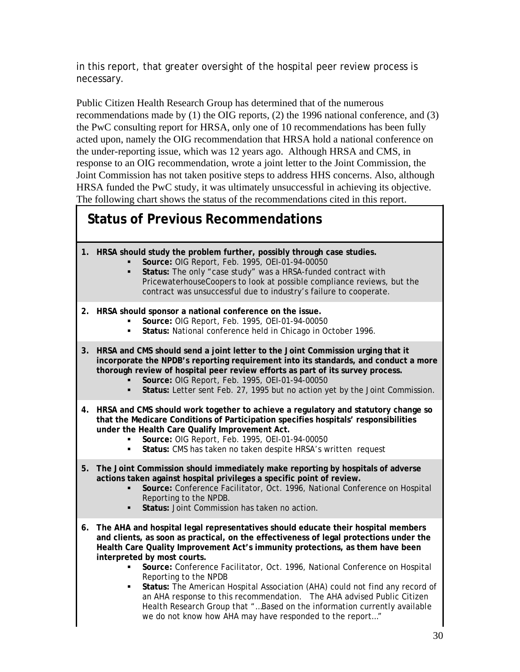in this report, that greater oversight of the hospital peer review process is necessary.

Public Citizen Health Research Group has determined that of the numerous recommendations made by (1) the OIG reports, (2) the 1996 national conference, and (3) the PwC consulting report for HRSA, only one of 10 recommendations has been fully acted upon, namely the OIG recommendation that HRSA hold a national conference on the under-reporting issue, which was 12 years ago. Although HRSA and CMS, in response to an OIG recommendation, wrote a joint letter to the Joint Commission, the Joint Commission has not taken positive steps to address HHS concerns. Also, although HRSA funded the PwC study, it was ultimately unsuccessful in achieving its objective. The following chart shows the status of the recommendations cited in this report.

## **Status of Previous Recommendations**

- **1. HRSA should study the problem further, possibly through case studies.** 
	- **Source:** OIG Report, Feb. 1995, OEI-01-94-00050
		- **Status:** The only "case study" was a HRSA-funded contract with PricewaterhouseCoopers to look at possible compliance reviews, but the contract was unsuccessful due to industry's failure to cooperate.

#### **2. HRSA should sponsor a national conference on the issue.**

- **Source:** OIG Report, Feb. 1995, OEI-01-94-00050
- **Status:** National conference held in Chicago in October 1996.
- **3. HRSA and CMS should send a joint letter to the Joint Commission urging that it incorporate the NPDB's reporting requirement into its standards, and conduct a more thorough review of hospital peer review efforts as part of its survey process.** 
	- **Source:** OIG Report, Feb. 1995, OEI-01-94-00050
	- **Status:** Letter sent Feb. 27, 1995 but no action yet by the Joint Commission.
- **4. HRSA and CMS should work together to achieve a regulatory and statutory change so that the Medicare Conditions of Participation specifies hospitals' responsibilities under the Health Care Qualify Improvement Act.** 
	- **Source:** OIG Report, Feb. 1995, OEI-01-94-00050
	- **Status: CMS has taken no taken despite HRSA's written request**
- **5. The Joint Commission should immediately make reporting by hospitals of adverse actions taken against hospital privileges a specific point of review.** 
	- **Source:** Conference Facilitator, Oct. 1996, National Conference on Hospital Reporting to the NPDB.
	- **Status:** Joint Commission has taken no action.
- **6. The AHA and hospital legal representatives should educate their hospital members and clients, as soon as practical, on the effectiveness of legal protections under the Health Care Quality Improvement Act's immunity protections, as them have been interpreted by most courts.** 
	- **Source:** Conference Facilitator, Oct. 1996, National Conference on Hospital Reporting to the NPDB
	- **Status:** The American Hospital Association (AHA) could not find any record of an AHA response to this recommendation. The AHA advised Public Citizen Health Research Group that "…Based on the information currently available we do not know how AHA may have responded to the report…"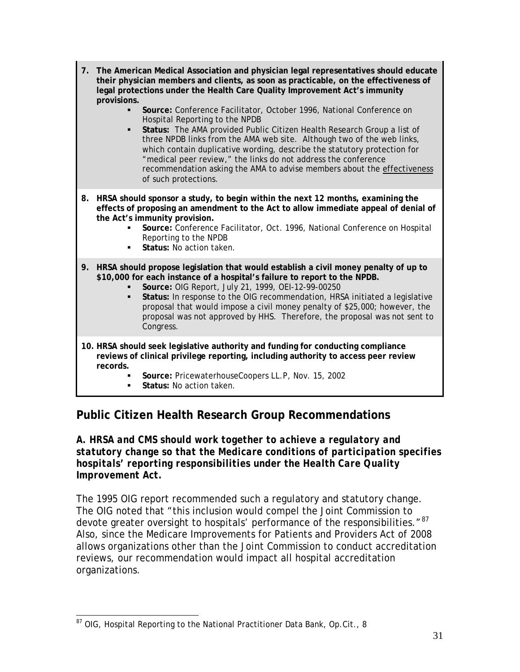| 7. | The American Medical Association and physician legal representatives should educate<br>their physician members and clients, as soon as practicable, on the effectiveness of<br>legal protections under the Health Care Quality Improvement Act's immunity<br>provisions.<br>Source: Conference Facilitator, October 1996, National Conference on<br>Hospital Reporting to the NPDB<br>Status: The AMA provided Public Citizen Health Research Group a list of<br>three NPDB links from the AMA web site. Although two of the web links,<br>which contain duplicative wording, describe the statutory protection for<br>"medical peer review," the links do not address the conference<br>recommendation asking the AMA to advise members about the effectiveness<br>of such protections. |
|----|------------------------------------------------------------------------------------------------------------------------------------------------------------------------------------------------------------------------------------------------------------------------------------------------------------------------------------------------------------------------------------------------------------------------------------------------------------------------------------------------------------------------------------------------------------------------------------------------------------------------------------------------------------------------------------------------------------------------------------------------------------------------------------------|
| 8. | HRSA should sponsor a study, to begin within the next 12 months, examining the<br>effects of proposing an amendment to the Act to allow immediate appeal of denial of<br>the Act's immunity provision.<br>Source: Conference Facilitator, Oct. 1996, National Conference on Hospital<br>Reporting to the NPDB<br>Status: No action taken.<br>٠                                                                                                                                                                                                                                                                                                                                                                                                                                           |
| 9. | HRSA should propose legislation that would establish a civil money penalty of up to<br>\$10,000 for each instance of a hospital's failure to report to the NPDB.<br>Source: OIG Report, July 21, 1999, OEI-12-99-00250<br>Status: In response to the OIG recommendation, HRSA initiated a legislative<br>٠<br>proposal that would impose a civil money penalty of \$25,000; however, the<br>proposal was not approved by HHS. Therefore, the proposal was not sent to<br>Congress.                                                                                                                                                                                                                                                                                                       |
|    | 10. HRSA should seek legislative authority and funding for conducting compliance<br>reviews of clinical privilege reporting, including authority to access peer review<br>records.<br>Source: PricewaterhouseCoopers LL.P, Nov. 15, 2002<br>Status: No action taken.<br>٠                                                                                                                                                                                                                                                                                                                                                                                                                                                                                                                |

## **Public Citizen Health Research Group Recommendations**

*A. HRSA and CMS should work together to achieve a regulatory and statutory change so that the Medicare conditions of participation specifies hospitals' reporting responsibilities under the Health Care Quality Improvement Act.*

The 1995 OIG report recommended such a regulatory and statutory change. The OIG noted that "this inclusion would compel the Joint Commission to devote greater oversight to hospitals' performance of the responsibilities."<sup>[87](#page-31-0)</sup> Also, since the Medicare Improvements for Patients and Providers Act of 2008 allows organizations other than the Joint Commission to conduct accreditation reviews, our recommendation would impact all hospital accreditation organizations.

<span id="page-31-0"></span><sup>&</sup>lt;u>.</u>  $87$  OIG, Hospital Reporting to the National Practitioner Data Bank, Op.Cit., 8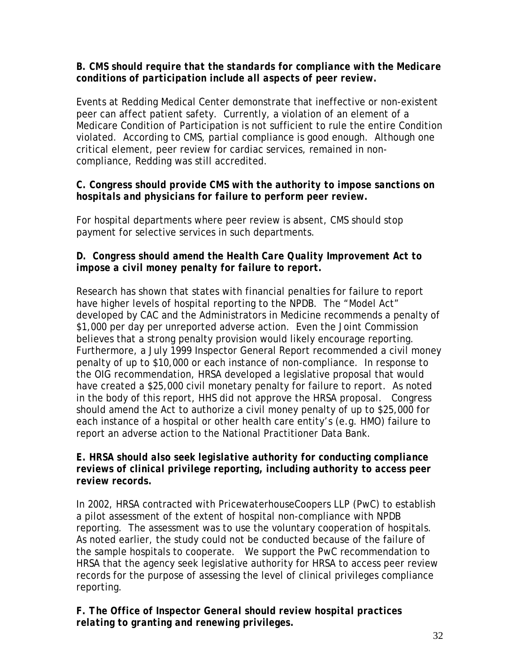## *B. CMS should require that the standards for compliance with the Medicare conditions of participation include all aspects of peer review.*

Events at Redding Medical Center demonstrate that ineffective or non-existent peer can affect patient safety. Currently, a violation of an element of a Medicare Condition of Participation is not sufficient to rule the entire Condition violated. According to CMS, partial compliance is good enough. Although one critical element, peer review for cardiac services, remained in noncompliance, Redding was still accredited.

## *C. Congress should provide CMS with the authority to impose sanctions on hospitals and physicians for failure to perform peer review.*

For hospital departments where peer review is absent, CMS should stop payment for selective services in such departments.

## *D. Congress should amend the Health Care Quality Improvement Act to impose a civil money penalty for failure to report.*

Research has shown that states with financial penalties for failure to report have higher levels of hospital reporting to the NPDB. The "Model Act" developed by CAC and the Administrators in Medicine recommends a penalty of \$1,000 per day per unreported adverse action. Even the Joint Commission believes that a strong penalty provision would likely encourage reporting. Furthermore, a July 1999 Inspector General Report recommended a civil money penalty of up to \$10,000 or each instance of non-compliance. In response to the OIG recommendation, HRSA developed a legislative proposal that would have created a \$25,000 civil monetary penalty for failure to report. As noted in the body of this report, HHS did not approve the HRSA proposal. Congress should amend the Act to authorize a civil money penalty of up to \$25,000 for each instance of a hospital or other health care entity's (e.g. HMO) failure to report an adverse action to the National Practitioner Data Bank.

### *E***.** *HRSA should also seek legislative authority for conducting compliance reviews of clinical privilege reporting, including authority to access peer review records.*

In 2002, HRSA contracted with PricewaterhouseCoopers LLP (PwC) to establish a pilot assessment of the extent of hospital non-compliance with NPDB reporting. The assessment was to use the voluntary cooperation of hospitals. As noted earlier, the study could not be conducted because of the failure of the sample hospitals to cooperate. We support the PwC recommendation to HRSA that the agency seek legislative authority for HRSA to access peer review records for the purpose of assessing the level of clinical privileges compliance reporting.

*F. The Office of Inspector General should review hospital practices relating to granting and renewing privileges.*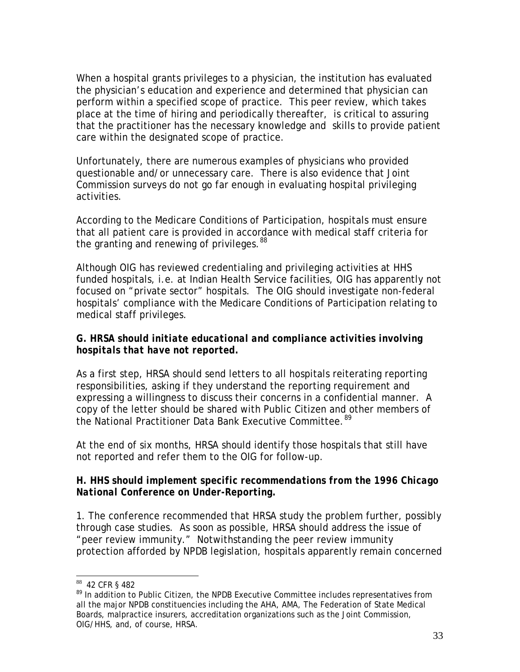When a hospital grants privileges to a physician, the institution has evaluated the physician's education and experience and determined that physician can perform within a specified scope of practice. This peer review, which takes place at the time of hiring and periodically thereafter, is critical to assuring that the practitioner has the necessary knowledge and skills to provide patient care within the designated scope of practice.

Unfortunately, there are numerous examples of physicians who provided questionable and/or unnecessary care. There is also evidence that Joint Commission surveys do not go far enough in evaluating hospital privileging activities.

According to the Medicare Conditions of Participation, hospitals must ensure that all patient care is provided in accordance with medical staff criteria for the granting and renewing of privileges. $88$ 

Although OIG has reviewed credentialing and privileging activities at HHS funded hospitals, i.e. at Indian Health Service facilities, OIG has apparently not focused on "private sector" hospitals. The OIG should investigate non-federal hospitals' compliance with the Medicare Conditions of Participation relating to medical staff privileges.

### *G***.** *HRSA should initiate educational and compliance activities involving hospitals that have not reported.*

As a first step, HRSA should send letters to all hospitals reiterating reporting responsibilities, asking if they understand the reporting requirement and expressing a willingness to discuss their concerns in a confidential manner. A copy of the letter should be shared with Public Citizen and other members of the National Practitioner Data Bank Executive Committee.<sup>[89](#page-33-1)</sup>

At the end of six months, HRSA should identify those hospitals that still have not reported and refer them to the OIG for follow-up.

## *H. HHS should implement specific recommendations from the 1996 Chicago National Conference on Under-Reporting.*

1. The conference recommended that HRSA study the problem further, possibly through case studies. As soon as possible, HRSA should address the issue of "peer review immunity." Notwithstanding the peer review immunity protection afforded by NPDB legislation, hospitals apparently remain concerned

 $\overline{a}$ <sup>88</sup> 42 CFR § 482

<span id="page-33-1"></span><span id="page-33-0"></span><sup>&</sup>lt;sup>89</sup> In addition to Public Citizen, the NPDB Executive Committee includes representatives from all the major NPDB constituencies including the AHA, AMA, The Federation of State Medical Boards, malpractice insurers, accreditation organizations such as the Joint Commission, OIG/HHS, and, of course, HRSA.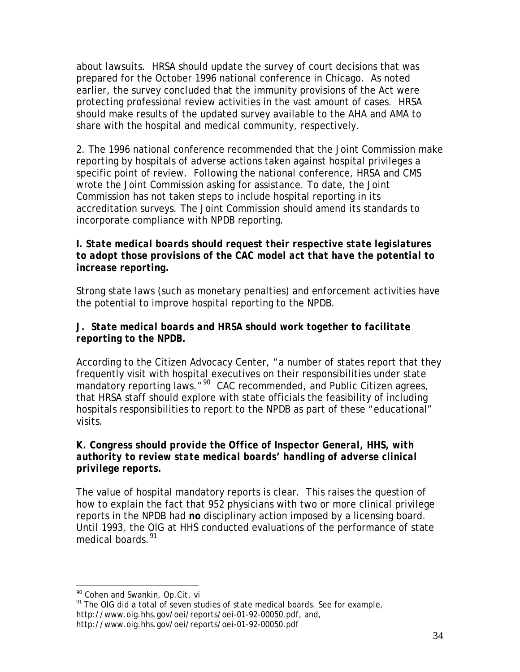about lawsuits. HRSA should update the survey of court decisions that was prepared for the October 1996 national conference in Chicago. As noted earlier, the survey concluded that the immunity provisions of the Act were protecting professional review activities in the vast amount of cases. HRSA should make results of the updated survey available to the AHA and AMA to share with the hospital and medical community, respectively.

2. The 1996 national conference recommended that the Joint Commission make reporting by hospitals of adverse actions taken against hospital privileges a specific point of review. Following the national conference, HRSA and CMS wrote the Joint Commission asking for assistance. To date, the Joint Commission has not taken steps to include hospital reporting in its accreditation surveys. The Joint Commission should amend its standards to incorporate compliance with NPDB reporting.

## *I. State medical boards should request their respective state legislatures to adopt those provisions of the CAC model act that have the potential to increase reporting.*

Strong state laws (such as monetary penalties) and enforcement activities have the potential to improve hospital reporting to the NPDB.

## *J. State medical boards and HRSA should work together to facilitate reporting to the NPDB.*

According to the Citizen Advocacy Center, "a number of states report that they frequently visit with hospital executives on their responsibilities under state mandatory reporting laws."<sup>[90](#page-34-0)</sup> CAC recommended, and Public Citizen agrees, that HRSA staff should explore with state officials the feasibility of including hospitals responsibilities to report to the NPDB as part of these "educational" visits.

### *K***.** *Congress should provide the Office of Inspector General, HHS, with authority to review state medical boards' handling of adverse clinical privilege reports.*

The value of hospital mandatory reports is clear. This raises the question of how to explain the fact that 952 physicians with two or more clinical privilege reports in the NPDB had **no** disciplinary action imposed by a licensing board. Until 1993, the OIG at HHS conducted evaluations of the performance of state medical boards.<sup>[91](#page-34-1)</sup>

<sup>&</sup>lt;u>.</u> <sup>90</sup> Cohen and Swankin, Op.Cit. vi

<span id="page-34-1"></span><span id="page-34-0"></span> $91$  The OIG did a total of seven studies of state medical boards. See for example, http://www.oig.hhs.gov/oei/reports/oei-01-92-00050.pdf, and, http://www.oig.hhs.gov/oei/reports/oei-01-92-00050.pdf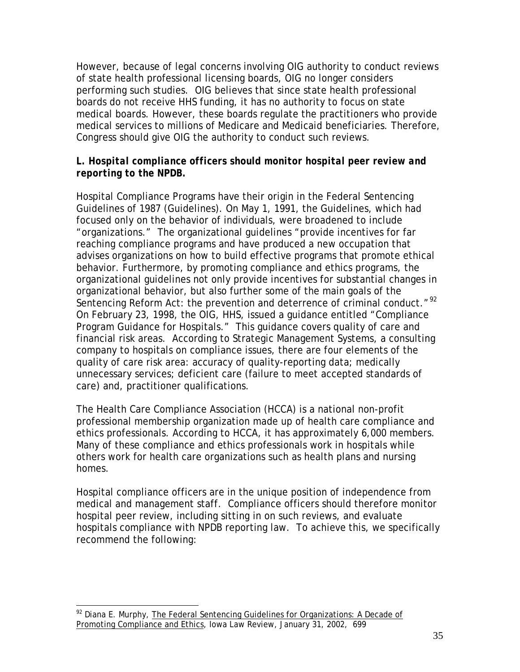However, because of legal concerns involving OIG authority to conduct reviews of state health professional licensing boards, OIG no longer considers performing such studies. OIG believes that since state health professional boards do not receive HHS funding, it has no authority to focus on state medical boards. However, these boards regulate the practitioners who provide medical services to millions of Medicare and Medicaid beneficiaries. Therefore, Congress should give OIG the authority to conduct such reviews.

#### *L. Hospital compliance officers should monitor hospital peer review and reporting to the NPDB.*

Hospital Compliance Programs have their origin in the Federal Sentencing Guidelines of 1987 (Guidelines). On May 1, 1991, the Guidelines, which had focused only on the behavior of individuals, were broadened to include "organizations." The organizational guidelines "provide incentives for far reaching compliance programs and have produced a new occupation that advises organizations on how to build effective programs that promote ethical behavior. Furthermore, by promoting compliance and ethics programs, the organizational guidelines not only provide incentives for substantial changes in organizational behavior, but also further some of the main goals of the Sentencing Reform Act: the prevention and deterrence of criminal conduct."<sup>[92](#page-35-0)</sup> On February 23, 1998, the OIG, HHS, issued a guidance entitled "Compliance Program Guidance for Hospitals." This guidance covers quality of care and financial risk areas. According to Strategic Management Systems, a consulting company to hospitals on compliance issues, there are four elements of the quality of care risk area: accuracy of quality-reporting data; medically unnecessary services; deficient care (failure to meet accepted standards of care) and, practitioner qualifications.

The Health Care Compliance Association (HCCA) is a national non-profit professional membership organization made up of health care compliance and ethics professionals. According to HCCA, it has approximately 6,000 members. Many of these compliance and ethics professionals work in hospitals while others work for health care organizations such as health plans and nursing homes.

Hospital compliance officers are in the unique position of independence from medical and management staff. Compliance officers should therefore monitor hospital peer review, including sitting in on such reviews, and evaluate hospitals compliance with NPDB reporting law. To achieve this, we specifically recommend the following:

<span id="page-35-0"></span> $\overline{a}$ <sup>92</sup> Diana E. Murphy, The Federal Sentencing Guidelines for Organizations: A Decade of Promoting Compliance and Ethics, Iowa Law Review, January 31, 2002, 699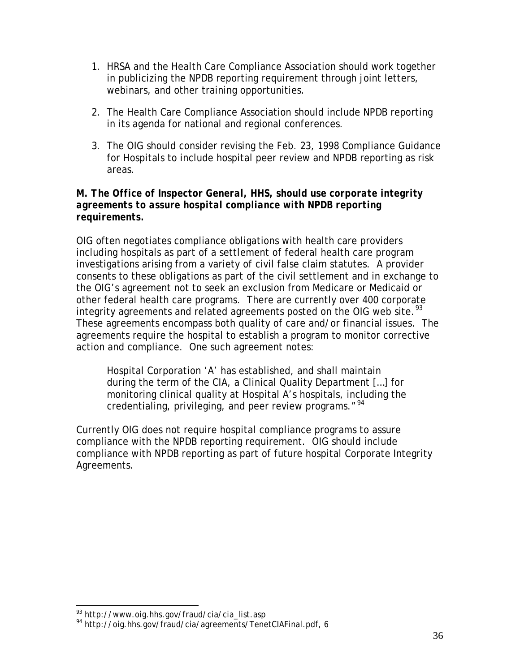- 1. HRSA and the Health Care Compliance Association should work together in publicizing the NPDB reporting requirement through joint letters, webinars, and other training opportunities.
- 2. The Health Care Compliance Association should include NPDB reporting in its agenda for national and regional conferences.
- 3. The OIG should consider revising the Feb. 23, 1998 Compliance Guidance for Hospitals to include hospital peer review and NPDB reporting as risk areas.

### *M***.** *The Office of Inspector General, HHS, should use corporate integrity agreements to assure hospital compliance with NPDB reporting requirements.*

OIG often negotiates compliance obligations with health care providers including hospitals as part of a settlement of federal health care program investigations arising from a variety of civil false claim statutes. A provider consents to these obligations as part of the civil settlement and in exchange to the OIG's agreement not to seek an exclusion from Medicare or Medicaid or other federal health care programs. There are currently over 400 corporate integrity agreements and related agreements posted on the OIG web site.<sup>[93](#page-36-0)</sup> These agreements encompass both quality of care and/or financial issues. The agreements require the hospital to establish a program to monitor corrective action and compliance. One such agreement notes:

Hospital Corporation 'A' has established, and shall maintain during the term of the CIA, a Clinical Quality Department […] for monitoring clinical quality at Hospital A's hospitals, including the credentialing, privileging, and peer review programs."<sup>[94](#page-36-0)</sup>

Currently OIG does not require hospital compliance programs to assure compliance with the NPDB reporting requirement. OIG should include compliance with NPDB reporting as part of future hospital Corporate Integrity Agreements.

 $\overline{a}$ <sup>93</sup> http://www.oig.hhs.gov/fraud/cia/cia\_list.asp

<span id="page-36-0"></span><sup>94</sup> http://oig.hhs.gov/fraud/cia/agreements/TenetCIAFinal.pdf, 6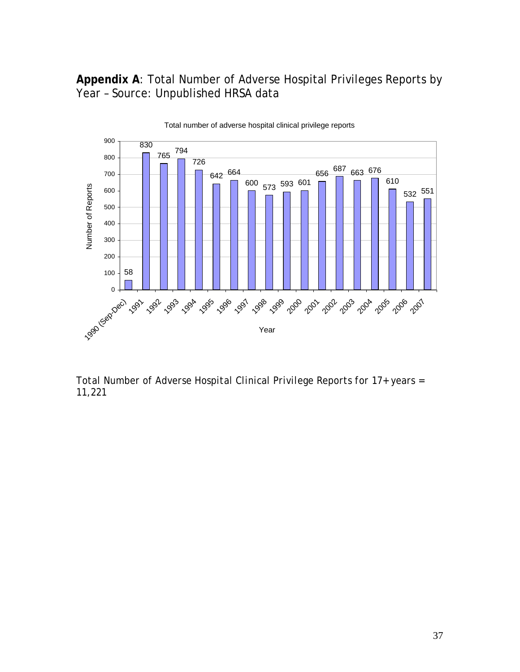## **Appendix A**: Total Number of Adverse Hospital Privileges Reports by Year – Source: Unpublished HRSA data



*Total Number of Adverse Hospital Clinical Privilege Reports for 17+ years = 11,221*